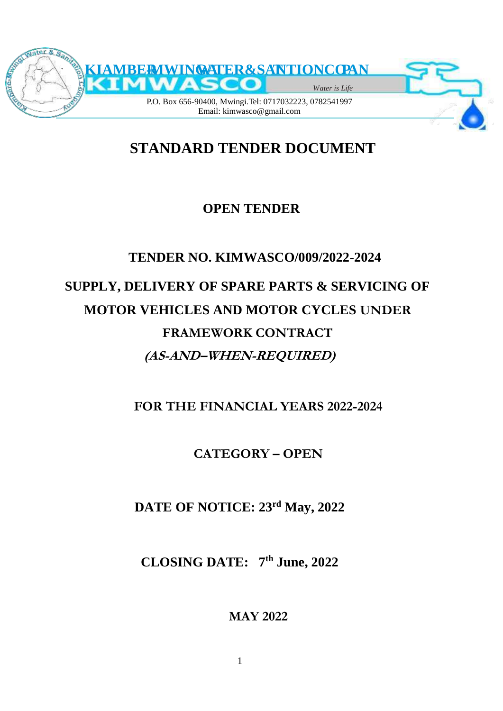

# **STANDARD TENDER DOCUMENT**

# **OPEN TENDER**

# **TENDER NO. KIMWASCO/009/2022-2024**

# **SUPPLY, DELIVERY OF SPARE PARTS & SERVICING OF MOTOR VEHICLES AND MOTOR CYCLES UNDER FRAMEWORK CONTRACT (AS-AND–WHEN-REQUIRED)**

**FOR THE FINANCIAL YEARS 2022-2024**

**CATEGORY – OPEN**

**DATE OF NOTICE: 23rd May, 2022**

**CLOSING DATE: 7 th June, 2022**

**MAY 2022**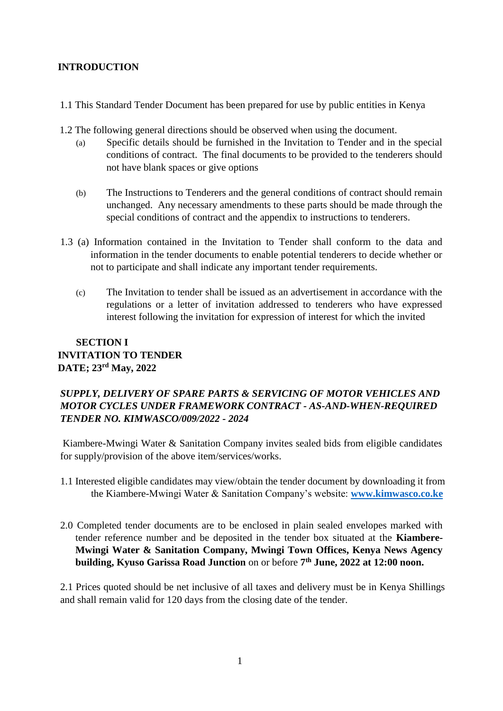#### **INTRODUCTION**

- 1.1 This Standard Tender Document has been prepared for use by public entities in Kenya
- 1.2 The following general directions should be observed when using the document.
	- (a) Specific details should be furnished in the Invitation to Tender and in the special conditions of contract. The final documents to be provided to the tenderers should not have blank spaces or give options
	- (b) The Instructions to Tenderers and the general conditions of contract should remain unchanged. Any necessary amendments to these parts should be made through the special conditions of contract and the appendix to instructions to tenderers.
- 1.3 (a) Information contained in the Invitation to Tender shall conform to the data and information in the tender documents to enable potential tenderers to decide whether or not to participate and shall indicate any important tender requirements.
	- (c) The Invitation to tender shall be issued as an advertisement in accordance with the regulations or a letter of invitation addressed to tenderers who have expressed interest following the invitation for expression of interest for which the invited

# **SECTION I INVITATION TO TENDER DATE; 23rd May, 2022**

## *SUPPLY, DELIVERY OF SPARE PARTS & SERVICING OF MOTOR VEHICLES AND MOTOR CYCLES UNDER FRAMEWORK CONTRACT - AS-AND-WHEN-REQUIRED TENDER NO. KIMWASCO/009/2022 - 2024*

Kiambere-Mwingi Water & Sanitation Company invites sealed bids from eligible candidates for supply/provision of the above item/services/works.

- 1.1 Interested eligible candidates may view/obtain the tender document by downloading it from the Kiambere-Mwingi Water & Sanitation Company's website: **[www.kimwasco.co.ke](http://www.kimwasco.co.ke/)**
- 2.0 Completed tender documents are to be enclosed in plain sealed envelopes marked with tender reference number and be deposited in the tender box situated at the **Kiambere-Mwingi Water & Sanitation Company, Mwingi Town Offices, Kenya News Agency building, Kyuso Garissa Road Junction** on or before **7 th June, 2022 at 12:00 noon.**

2.1 Prices quoted should be net inclusive of all taxes and delivery must be in Kenya Shillings and shall remain valid for 120 days from the closing date of the tender.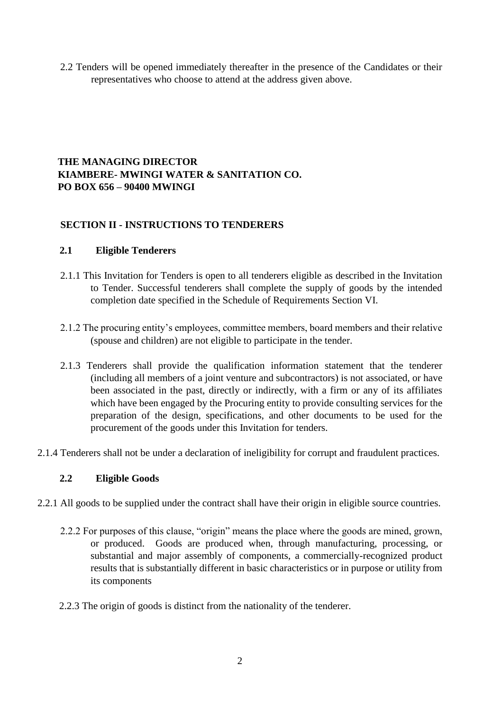2.2 Tenders will be opened immediately thereafter in the presence of the Candidates or their representatives who choose to attend at the address given above.

#### **THE MANAGING DIRECTOR KIAMBERE- MWINGI WATER & SANITATION CO. PO BOX 656 – 90400 MWINGI**

#### **SECTION II - INSTRUCTIONS TO TENDERERS**

#### **2.1 Eligible Tenderers**

- 2.1.1 This Invitation for Tenders is open to all tenderers eligible as described in the Invitation to Tender. Successful tenderers shall complete the supply of goods by the intended completion date specified in the Schedule of Requirements Section VI.
- 2.1.2 The procuring entity's employees, committee members, board members and their relative (spouse and children) are not eligible to participate in the tender.
- 2.1.3 Tenderers shall provide the qualification information statement that the tenderer (including all members of a joint venture and subcontractors) is not associated, or have been associated in the past, directly or indirectly, with a firm or any of its affiliates which have been engaged by the Procuring entity to provide consulting services for the preparation of the design, specifications, and other documents to be used for the procurement of the goods under this Invitation for tenders.
- 2.1.4 Tenderers shall not be under a declaration of ineligibility for corrupt and fraudulent practices.

#### **2.2 Eligible Goods**

- 2.2.1 All goods to be supplied under the contract shall have their origin in eligible source countries.
	- 2.2.2 For purposes of this clause, "origin" means the place where the goods are mined, grown, or produced. Goods are produced when, through manufacturing, processing, or substantial and major assembly of components, a commercially-recognized product results that is substantially different in basic characteristics or in purpose or utility from its components
	- 2.2.3 The origin of goods is distinct from the nationality of the tenderer.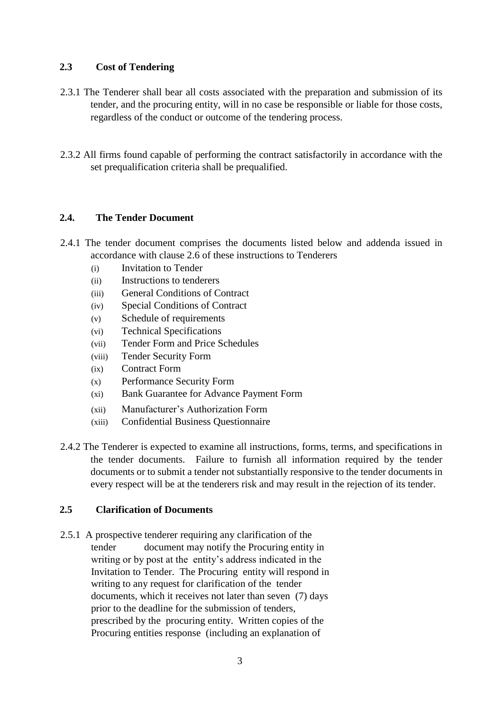#### **2.3 Cost of Tendering**

- 2.3.1 The Tenderer shall bear all costs associated with the preparation and submission of its tender, and the procuring entity, will in no case be responsible or liable for those costs, regardless of the conduct or outcome of the tendering process.
- 2.3.2 All firms found capable of performing the contract satisfactorily in accordance with the set prequalification criteria shall be prequalified.

## **2.4. The Tender Document**

- 2.4.1 The tender document comprises the documents listed below and addenda issued in accordance with clause 2.6 of these instructions to Tenderers
	- (i) Invitation to Tender
	- (ii) Instructions to tenderers
	- (iii) General Conditions of Contract
	- (iv) Special Conditions of Contract
	- (v) Schedule of requirements
	- (vi) Technical Specifications
	- (vii) Tender Form and Price Schedules
	- (viii) Tender Security Form
	- (ix) Contract Form
	- (x) Performance Security Form
	- (xi) Bank Guarantee for Advance Payment Form
	- (xii) Manufacturer's Authorization Form
	- (xiii) Confidential Business Questionnaire
- 2.4.2 The Tenderer is expected to examine all instructions, forms, terms, and specifications in the tender documents. Failure to furnish all information required by the tender documents or to submit a tender not substantially responsive to the tender documents in every respect will be at the tenderers risk and may result in the rejection of its tender.

#### **2.5 Clarification of Documents**

2.5.1 A prospective tenderer requiring any clarification of the tender document may notify the Procuring entity in writing or by post at the entity's address indicated in the Invitation to Tender. The Procuring entity will respond in writing to any request for clarification of the tender documents, which it receives not later than seven (7) days prior to the deadline for the submission of tenders, prescribed by the procuring entity. Written copies of the Procuring entities response (including an explanation of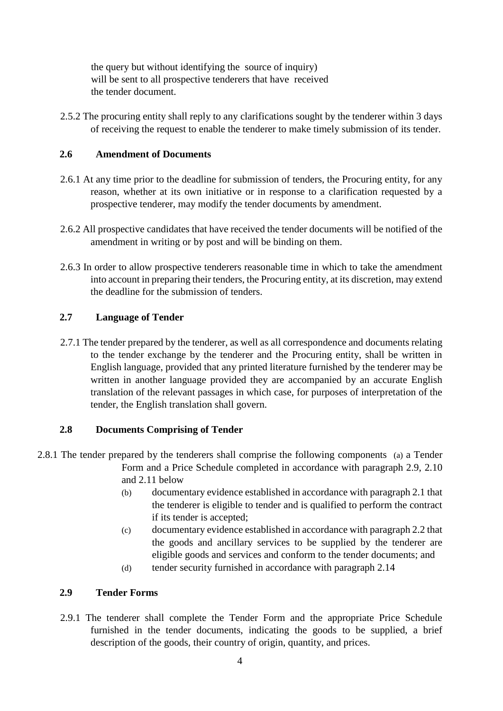the query but without identifying the source of inquiry) will be sent to all prospective tenderers that have received the tender document.

2.5.2 The procuring entity shall reply to any clarifications sought by the tenderer within 3 days of receiving the request to enable the tenderer to make timely submission of its tender.

#### **2.6 Amendment of Documents**

- 2.6.1 At any time prior to the deadline for submission of tenders, the Procuring entity, for any reason, whether at its own initiative or in response to a clarification requested by a prospective tenderer, may modify the tender documents by amendment.
- 2.6.2 All prospective candidates that have received the tender documents will be notified of the amendment in writing or by post and will be binding on them.
- 2.6.3 In order to allow prospective tenderers reasonable time in which to take the amendment into account in preparing their tenders, the Procuring entity, at its discretion, may extend the deadline for the submission of tenders.

### **2.7 Language of Tender**

2.7.1 The tender prepared by the tenderer, as well as all correspondence and documents relating to the tender exchange by the tenderer and the Procuring entity, shall be written in English language, provided that any printed literature furnished by the tenderer may be written in another language provided they are accompanied by an accurate English translation of the relevant passages in which case, for purposes of interpretation of the tender, the English translation shall govern.

#### **2.8 Documents Comprising of Tender**

- 2.8.1 The tender prepared by the tenderers shall comprise the following components (a) a Tender Form and a Price Schedule completed in accordance with paragraph 2.9, 2.10 and 2.11 below
	- (b) documentary evidence established in accordance with paragraph 2.1 that the tenderer is eligible to tender and is qualified to perform the contract if its tender is accepted;
	- (c) documentary evidence established in accordance with paragraph 2.2 that the goods and ancillary services to be supplied by the tenderer are eligible goods and services and conform to the tender documents; and
	- (d) tender security furnished in accordance with paragraph 2.14

# **2.9 Tender Forms**

2.9.1 The tenderer shall complete the Tender Form and the appropriate Price Schedule furnished in the tender documents, indicating the goods to be supplied, a brief description of the goods, their country of origin, quantity, and prices.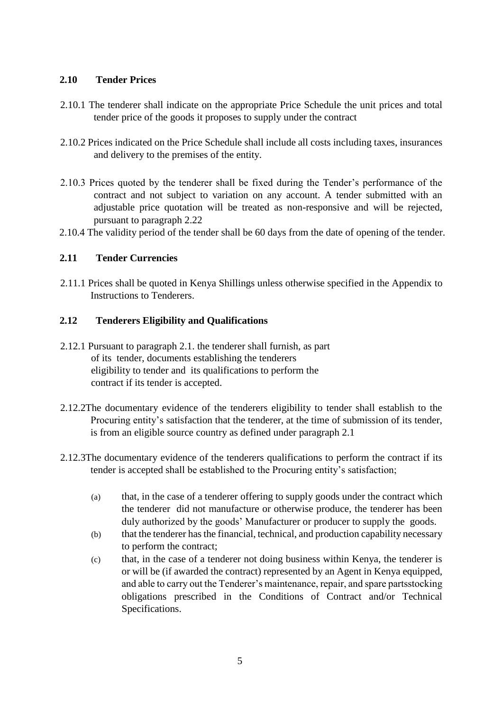#### **2.10 Tender Prices**

- 2.10.1 The tenderer shall indicate on the appropriate Price Schedule the unit prices and total tender price of the goods it proposes to supply under the contract
- 2.10.2 Prices indicated on the Price Schedule shall include all costs including taxes, insurances and delivery to the premises of the entity.
- 2.10.3 Prices quoted by the tenderer shall be fixed during the Tender's performance of the contract and not subject to variation on any account. A tender submitted with an adjustable price quotation will be treated as non-responsive and will be rejected, pursuant to paragraph 2.22
- 2.10.4 The validity period of the tender shall be 60 days from the date of opening of the tender.

#### **2.11 Tender Currencies**

2.11.1 Prices shall be quoted in Kenya Shillings unless otherwise specified in the Appendix to Instructions to Tenderers.

#### **2.12 Tenderers Eligibility and Qualifications**

- 2.12.1 Pursuant to paragraph 2.1. the tenderer shall furnish, as part of its tender, documents establishing the tenderers eligibility to tender and its qualifications to perform the contract if its tender is accepted.
- 2.12.2The documentary evidence of the tenderers eligibility to tender shall establish to the Procuring entity's satisfaction that the tenderer, at the time of submission of its tender, is from an eligible source country as defined under paragraph 2.1
- 2.12.3The documentary evidence of the tenderers qualifications to perform the contract if its tender is accepted shall be established to the Procuring entity's satisfaction;
	- (a) that, in the case of a tenderer offering to supply goods under the contract which the tenderer did not manufacture or otherwise produce, the tenderer has been duly authorized by the goods' Manufacturer or producer to supply the goods.
	- (b) that the tenderer has the financial, technical, and production capability necessary to perform the contract;
	- (c) that, in the case of a tenderer not doing business within Kenya, the tenderer is or will be (if awarded the contract) represented by an Agent in Kenya equipped, and able to carry out the Tenderer's maintenance, repair, and spare partsstocking obligations prescribed in the Conditions of Contract and/or Technical Specifications.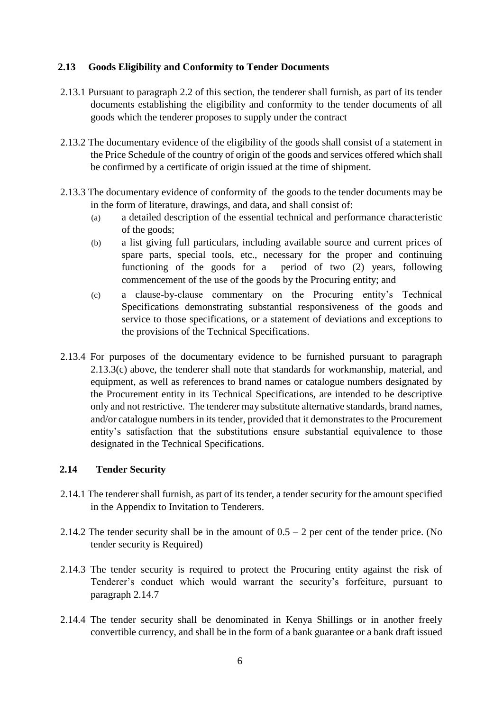#### **2.13 Goods Eligibility and Conformity to Tender Documents**

- 2.13.1 Pursuant to paragraph 2.2 of this section, the tenderer shall furnish, as part of its tender documents establishing the eligibility and conformity to the tender documents of all goods which the tenderer proposes to supply under the contract
- 2.13.2 The documentary evidence of the eligibility of the goods shall consist of a statement in the Price Schedule of the country of origin of the goods and services offered which shall be confirmed by a certificate of origin issued at the time of shipment.
- 2.13.3 The documentary evidence of conformity of the goods to the tender documents may be in the form of literature, drawings, and data, and shall consist of:
	- (a) a detailed description of the essential technical and performance characteristic of the goods;
	- (b) a list giving full particulars, including available source and current prices of spare parts, special tools, etc., necessary for the proper and continuing functioning of the goods for a period of two (2) years, following commencement of the use of the goods by the Procuring entity; and
	- (c) a clause-by-clause commentary on the Procuring entity's Technical Specifications demonstrating substantial responsiveness of the goods and service to those specifications, or a statement of deviations and exceptions to the provisions of the Technical Specifications.
- 2.13.4 For purposes of the documentary evidence to be furnished pursuant to paragraph 2.13.3(c) above, the tenderer shall note that standards for workmanship, material, and equipment, as well as references to brand names or catalogue numbers designated by the Procurement entity in its Technical Specifications, are intended to be descriptive only and not restrictive. The tenderer may substitute alternative standards, brand names, and/or catalogue numbers in its tender, provided that it demonstrates to the Procurement entity's satisfaction that the substitutions ensure substantial equivalence to those designated in the Technical Specifications.

#### **2.14 Tender Security**

- 2.14.1 The tenderer shall furnish, as part of its tender, a tender security for the amount specified in the Appendix to Invitation to Tenderers.
- 2.14.2 The tender security shall be in the amount of  $0.5 2$  per cent of the tender price. (No tender security is Required)
- 2.14.3 The tender security is required to protect the Procuring entity against the risk of Tenderer's conduct which would warrant the security's forfeiture, pursuant to paragraph 2.14.7
- 2.14.4 The tender security shall be denominated in Kenya Shillings or in another freely convertible currency, and shall be in the form of a bank guarantee or a bank draft issued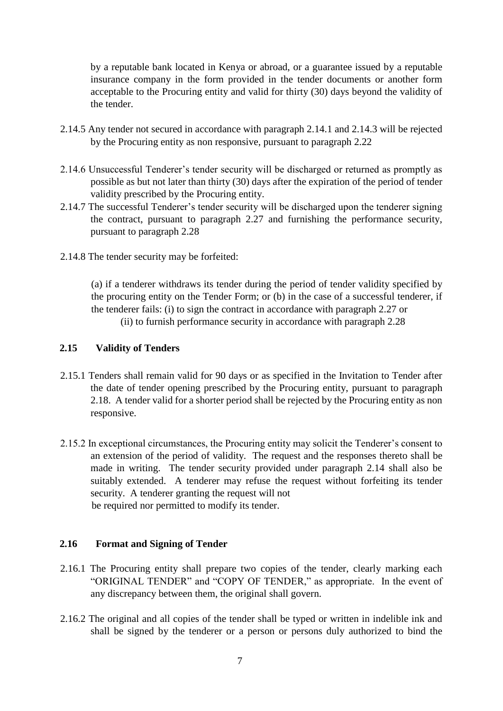by a reputable bank located in Kenya or abroad, or a guarantee issued by a reputable insurance company in the form provided in the tender documents or another form acceptable to the Procuring entity and valid for thirty (30) days beyond the validity of the tender.

- 2.14.5 Any tender not secured in accordance with paragraph 2.14.1 and 2.14.3 will be rejected by the Procuring entity as non responsive, pursuant to paragraph 2.22
- 2.14.6 Unsuccessful Tenderer's tender security will be discharged or returned as promptly as possible as but not later than thirty (30) days after the expiration of the period of tender validity prescribed by the Procuring entity.
- 2.14.7 The successful Tenderer's tender security will be discharged upon the tenderer signing the contract, pursuant to paragraph 2.27 and furnishing the performance security, pursuant to paragraph 2.28
- 2.14.8 The tender security may be forfeited:

(a) if a tenderer withdraws its tender during the period of tender validity specified by the procuring entity on the Tender Form; or (b) in the case of a successful tenderer, if the tenderer fails: (i) to sign the contract in accordance with paragraph 2.27 or (ii) to furnish performance security in accordance with paragraph 2.28

#### **2.15 Validity of Tenders**

- 2.15.1 Tenders shall remain valid for 90 days or as specified in the Invitation to Tender after the date of tender opening prescribed by the Procuring entity, pursuant to paragraph 2.18. A tender valid for a shorter period shall be rejected by the Procuring entity as non responsive.
- 2.15.2 In exceptional circumstances, the Procuring entity may solicit the Tenderer's consent to an extension of the period of validity. The request and the responses thereto shall be made in writing. The tender security provided under paragraph 2.14 shall also be suitably extended. A tenderer may refuse the request without forfeiting its tender security. A tenderer granting the request will not be required nor permitted to modify its tender.

#### **2.16 Format and Signing of Tender**

- 2.16.1 The Procuring entity shall prepare two copies of the tender, clearly marking each "ORIGINAL TENDER" and "COPY OF TENDER," as appropriate. In the event of any discrepancy between them, the original shall govern.
- 2.16.2 The original and all copies of the tender shall be typed or written in indelible ink and shall be signed by the tenderer or a person or persons duly authorized to bind the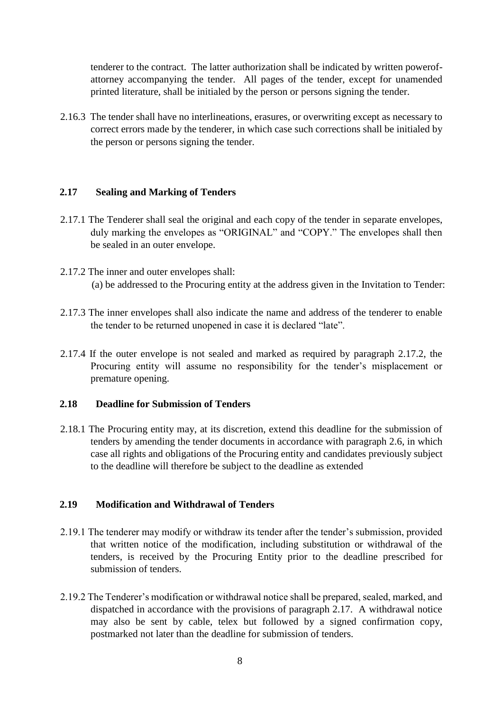tenderer to the contract. The latter authorization shall be indicated by written powerofattorney accompanying the tender. All pages of the tender, except for unamended printed literature, shall be initialed by the person or persons signing the tender.

2.16.3 The tender shall have no interlineations, erasures, or overwriting except as necessary to correct errors made by the tenderer, in which case such corrections shall be initialed by the person or persons signing the tender.

#### **2.17 Sealing and Marking of Tenders**

- 2.17.1 The Tenderer shall seal the original and each copy of the tender in separate envelopes, duly marking the envelopes as "ORIGINAL" and "COPY." The envelopes shall then be sealed in an outer envelope.
- 2.17.2 The inner and outer envelopes shall: (a) be addressed to the Procuring entity at the address given in the Invitation to Tender:
- 2.17.3 The inner envelopes shall also indicate the name and address of the tenderer to enable the tender to be returned unopened in case it is declared "late".
- 2.17.4 If the outer envelope is not sealed and marked as required by paragraph 2.17.2, the Procuring entity will assume no responsibility for the tender's misplacement or premature opening.

#### **2.18 Deadline for Submission of Tenders**

2.18.1 The Procuring entity may, at its discretion, extend this deadline for the submission of tenders by amending the tender documents in accordance with paragraph 2.6, in which case all rights and obligations of the Procuring entity and candidates previously subject to the deadline will therefore be subject to the deadline as extended

#### **2.19 Modification and Withdrawal of Tenders**

- 2.19.1 The tenderer may modify or withdraw its tender after the tender's submission, provided that written notice of the modification, including substitution or withdrawal of the tenders, is received by the Procuring Entity prior to the deadline prescribed for submission of tenders.
- 2.19.2 The Tenderer's modification or withdrawal notice shall be prepared, sealed, marked, and dispatched in accordance with the provisions of paragraph 2.17. A withdrawal notice may also be sent by cable, telex but followed by a signed confirmation copy, postmarked not later than the deadline for submission of tenders.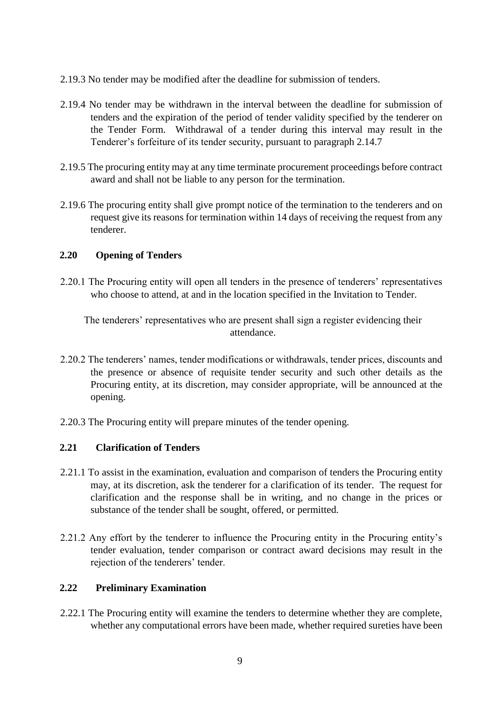- 2.19.3 No tender may be modified after the deadline for submission of tenders.
- 2.19.4 No tender may be withdrawn in the interval between the deadline for submission of tenders and the expiration of the period of tender validity specified by the tenderer on the Tender Form. Withdrawal of a tender during this interval may result in the Tenderer's forfeiture of its tender security, pursuant to paragraph 2.14.7
- 2.19.5 The procuring entity may at any time terminate procurement proceedings before contract award and shall not be liable to any person for the termination.
- 2.19.6 The procuring entity shall give prompt notice of the termination to the tenderers and on request give its reasons for termination within 14 days of receiving the request from any tenderer.

#### **2.20 Opening of Tenders**

2.20.1 The Procuring entity will open all tenders in the presence of tenderers' representatives who choose to attend, at and in the location specified in the Invitation to Tender.

The tenderers' representatives who are present shall sign a register evidencing their attendance.

- 2.20.2 The tenderers' names, tender modifications or withdrawals, tender prices, discounts and the presence or absence of requisite tender security and such other details as the Procuring entity, at its discretion, may consider appropriate, will be announced at the opening.
- 2.20.3 The Procuring entity will prepare minutes of the tender opening.

#### **2.21 Clarification of Tenders**

- 2.21.1 To assist in the examination, evaluation and comparison of tenders the Procuring entity may, at its discretion, ask the tenderer for a clarification of its tender. The request for clarification and the response shall be in writing, and no change in the prices or substance of the tender shall be sought, offered, or permitted.
- 2.21.2 Any effort by the tenderer to influence the Procuring entity in the Procuring entity's tender evaluation, tender comparison or contract award decisions may result in the rejection of the tenderers' tender.

#### **2.22 Preliminary Examination**

2.22.1 The Procuring entity will examine the tenders to determine whether they are complete, whether any computational errors have been made, whether required sureties have been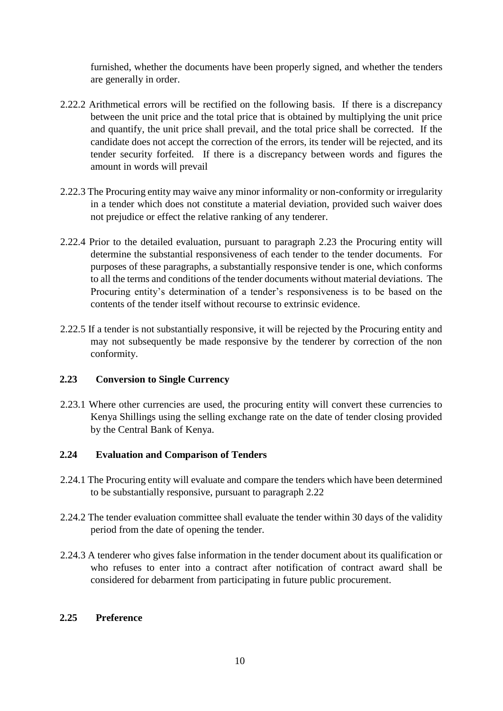furnished, whether the documents have been properly signed, and whether the tenders are generally in order.

- 2.22.2 Arithmetical errors will be rectified on the following basis. If there is a discrepancy between the unit price and the total price that is obtained by multiplying the unit price and quantify, the unit price shall prevail, and the total price shall be corrected. If the candidate does not accept the correction of the errors, its tender will be rejected, and its tender security forfeited. If there is a discrepancy between words and figures the amount in words will prevail
- 2.22.3 The Procuring entity may waive any minor informality or non-conformity or irregularity in a tender which does not constitute a material deviation, provided such waiver does not prejudice or effect the relative ranking of any tenderer.
- 2.22.4 Prior to the detailed evaluation, pursuant to paragraph 2.23 the Procuring entity will determine the substantial responsiveness of each tender to the tender documents. For purposes of these paragraphs, a substantially responsive tender is one, which conforms to all the terms and conditions of the tender documents without material deviations. The Procuring entity's determination of a tender's responsiveness is to be based on the contents of the tender itself without recourse to extrinsic evidence.
- 2.22.5 If a tender is not substantially responsive, it will be rejected by the Procuring entity and may not subsequently be made responsive by the tenderer by correction of the non conformity.

#### **2.23 Conversion to Single Currency**

2.23.1 Where other currencies are used, the procuring entity will convert these currencies to Kenya Shillings using the selling exchange rate on the date of tender closing provided by the Central Bank of Kenya.

#### **2.24 Evaluation and Comparison of Tenders**

- 2.24.1 The Procuring entity will evaluate and compare the tenders which have been determined to be substantially responsive, pursuant to paragraph 2.22
- 2.24.2 The tender evaluation committee shall evaluate the tender within 30 days of the validity period from the date of opening the tender.
- 2.24.3 A tenderer who gives false information in the tender document about its qualification or who refuses to enter into a contract after notification of contract award shall be considered for debarment from participating in future public procurement.

#### **2.25 Preference**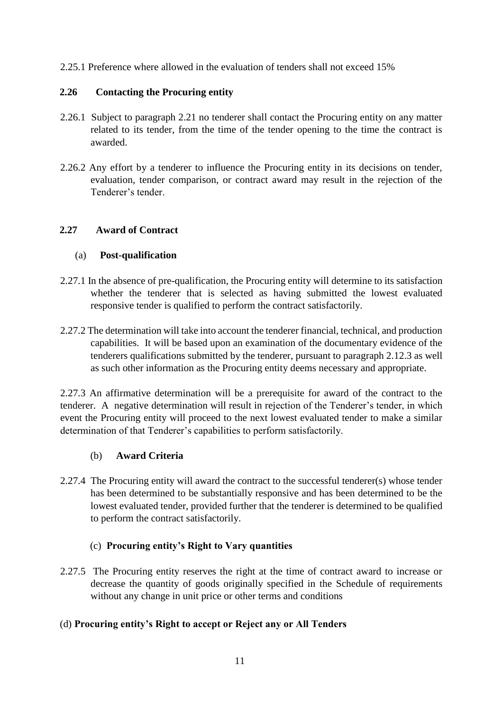2.25.1 Preference where allowed in the evaluation of tenders shall not exceed 15%

#### **2.26 Contacting the Procuring entity**

- 2.26.1 Subject to paragraph 2.21 no tenderer shall contact the Procuring entity on any matter related to its tender, from the time of the tender opening to the time the contract is awarded.
- 2.26.2 Any effort by a tenderer to influence the Procuring entity in its decisions on tender, evaluation, tender comparison, or contract award may result in the rejection of the Tenderer's tender.

### **2.27 Award of Contract**

### (a) **Post-qualification**

- 2.27.1 In the absence of pre-qualification, the Procuring entity will determine to its satisfaction whether the tenderer that is selected as having submitted the lowest evaluated responsive tender is qualified to perform the contract satisfactorily.
- 2.27.2 The determination will take into account the tenderer financial, technical, and production capabilities. It will be based upon an examination of the documentary evidence of the tenderers qualifications submitted by the tenderer, pursuant to paragraph 2.12.3 as well as such other information as the Procuring entity deems necessary and appropriate.

2.27.3 An affirmative determination will be a prerequisite for award of the contract to the tenderer. A negative determination will result in rejection of the Tenderer's tender, in which event the Procuring entity will proceed to the next lowest evaluated tender to make a similar determination of that Tenderer's capabilities to perform satisfactorily.

#### (b) **Award Criteria**

2.27.4 The Procuring entity will award the contract to the successful tenderer(s) whose tender has been determined to be substantially responsive and has been determined to be the lowest evaluated tender, provided further that the tenderer is determined to be qualified to perform the contract satisfactorily.

# (c) **Procuring entity's Right to Vary quantities**

2.27.5 The Procuring entity reserves the right at the time of contract award to increase or decrease the quantity of goods originally specified in the Schedule of requirements without any change in unit price or other terms and conditions

#### (d) **Procuring entity's Right to accept or Reject any or All Tenders**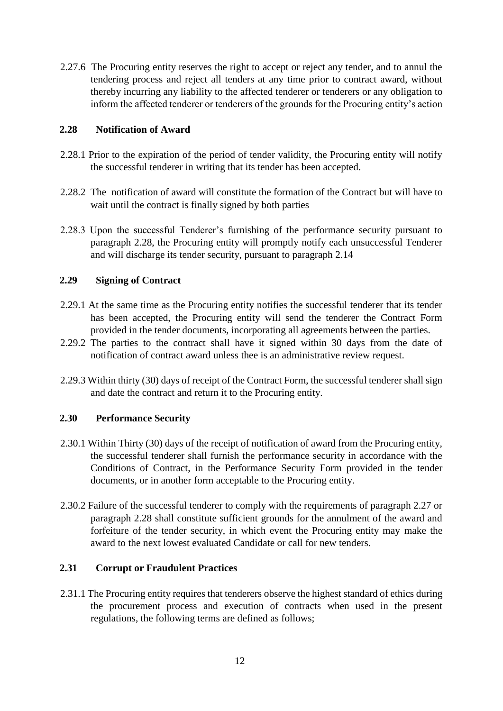2.27.6 The Procuring entity reserves the right to accept or reject any tender, and to annul the tendering process and reject all tenders at any time prior to contract award, without thereby incurring any liability to the affected tenderer or tenderers or any obligation to inform the affected tenderer or tenderers of the grounds for the Procuring entity's action

#### **2.28 Notification of Award**

- 2.28.1 Prior to the expiration of the period of tender validity, the Procuring entity will notify the successful tenderer in writing that its tender has been accepted.
- 2.28.2 The notification of award will constitute the formation of the Contract but will have to wait until the contract is finally signed by both parties
- 2.28.3 Upon the successful Tenderer's furnishing of the performance security pursuant to paragraph 2.28, the Procuring entity will promptly notify each unsuccessful Tenderer and will discharge its tender security, pursuant to paragraph 2.14

### **2.29 Signing of Contract**

- 2.29.1 At the same time as the Procuring entity notifies the successful tenderer that its tender has been accepted, the Procuring entity will send the tenderer the Contract Form provided in the tender documents, incorporating all agreements between the parties.
- 2.29.2 The parties to the contract shall have it signed within 30 days from the date of notification of contract award unless thee is an administrative review request.
- 2.29.3 Within thirty (30) days of receipt of the Contract Form, the successful tenderer shall sign and date the contract and return it to the Procuring entity.

# **2.30 Performance Security**

- 2.30.1 Within Thirty (30) days of the receipt of notification of award from the Procuring entity, the successful tenderer shall furnish the performance security in accordance with the Conditions of Contract, in the Performance Security Form provided in the tender documents, or in another form acceptable to the Procuring entity.
- 2.30.2 Failure of the successful tenderer to comply with the requirements of paragraph 2.27 or paragraph 2.28 shall constitute sufficient grounds for the annulment of the award and forfeiture of the tender security, in which event the Procuring entity may make the award to the next lowest evaluated Candidate or call for new tenders.

# **2.31 Corrupt or Fraudulent Practices**

2.31.1 The Procuring entity requires that tenderers observe the highest standard of ethics during the procurement process and execution of contracts when used in the present regulations, the following terms are defined as follows;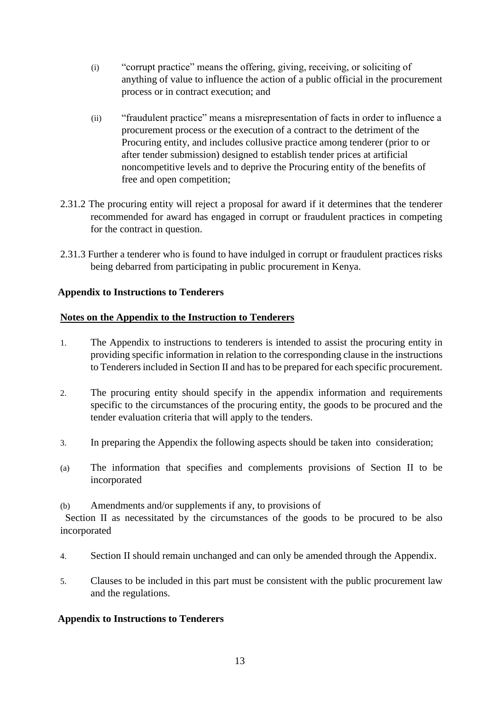- (i) "corrupt practice" means the offering, giving, receiving, or soliciting of anything of value to influence the action of a public official in the procurement process or in contract execution; and
- (ii) "fraudulent practice" means a misrepresentation of facts in order to influence a procurement process or the execution of a contract to the detriment of the Procuring entity, and includes collusive practice among tenderer (prior to or after tender submission) designed to establish tender prices at artificial noncompetitive levels and to deprive the Procuring entity of the benefits of free and open competition;
- 2.31.2 The procuring entity will reject a proposal for award if it determines that the tenderer recommended for award has engaged in corrupt or fraudulent practices in competing for the contract in question.
- 2.31.3 Further a tenderer who is found to have indulged in corrupt or fraudulent practices risks being debarred from participating in public procurement in Kenya.

### **Appendix to Instructions to Tenderers**

#### **Notes on the Appendix to the Instruction to Tenderers**

- 1. The Appendix to instructions to tenderers is intended to assist the procuring entity in providing specific information in relation to the corresponding clause in the instructions to Tenderers included in Section II and has to be prepared for each specific procurement.
- 2. The procuring entity should specify in the appendix information and requirements specific to the circumstances of the procuring entity, the goods to be procured and the tender evaluation criteria that will apply to the tenders.
- 3. In preparing the Appendix the following aspects should be taken into consideration;
- (a) The information that specifies and complements provisions of Section II to be incorporated
- (b) Amendments and/or supplements if any, to provisions of

Section II as necessitated by the circumstances of the goods to be procured to be also incorporated

- 4. Section II should remain unchanged and can only be amended through the Appendix.
- 5. Clauses to be included in this part must be consistent with the public procurement law and the regulations.

#### **Appendix to Instructions to Tenderers**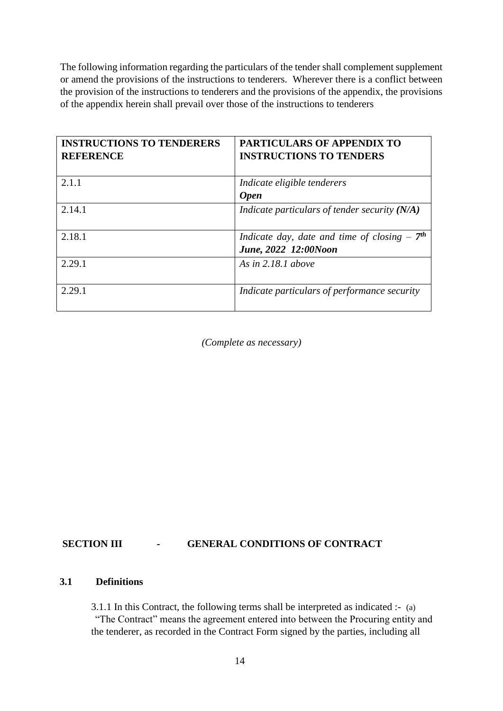The following information regarding the particulars of the tender shall complement supplement or amend the provisions of the instructions to tenderers. Wherever there is a conflict between the provision of the instructions to tenderers and the provisions of the appendix, the provisions of the appendix herein shall prevail over those of the instructions to tenderers

| <b>INSTRUCTIONS TO TENDERERS</b><br><b>REFERENCE</b> | <b>PARTICULARS OF APPENDIX TO</b><br><b>INSTRUCTIONS TO TENDERS</b> |
|------------------------------------------------------|---------------------------------------------------------------------|
| 2.1.1                                                | Indicate eligible tenderers                                         |
|                                                      | <b>Open</b>                                                         |
| 2.14.1                                               | Indicate particulars of tender security $(N/A)$                     |
| 2.18.1                                               | Indicate day, date and time of closing $-7th$                       |
|                                                      | June, 2022 12:00Noon                                                |
| 2.29.1                                               | As in $2.18.1$ above                                                |
| 2.29.1                                               | Indicate particulars of performance security                        |

*(Complete as necessary)* 

#### **SECTION III - GENERAL CONDITIONS OF CONTRACT**

#### **3.1 Definitions**

3.1.1 In this Contract, the following terms shall be interpreted as indicated :- (a) "The Contract" means the agreement entered into between the Procuring entity and the tenderer, as recorded in the Contract Form signed by the parties, including all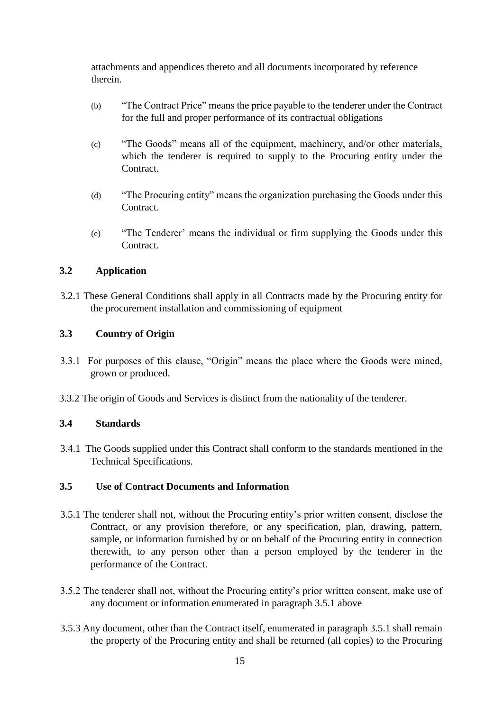attachments and appendices thereto and all documents incorporated by reference therein.

- (b) "The Contract Price" means the price payable to the tenderer under the Contract for the full and proper performance of its contractual obligations
- (c) "The Goods" means all of the equipment, machinery, and/or other materials, which the tenderer is required to supply to the Procuring entity under the **Contract**
- (d) "The Procuring entity" means the organization purchasing the Goods under this Contract.
- (e) "The Tenderer' means the individual or firm supplying the Goods under this Contract.

### **3.2 Application**

3.2.1 These General Conditions shall apply in all Contracts made by the Procuring entity for the procurement installation and commissioning of equipment

### **3.3 Country of Origin**

- 3.3.1 For purposes of this clause, "Origin" means the place where the Goods were mined, grown or produced.
- 3.3.2 The origin of Goods and Services is distinct from the nationality of the tenderer.

#### **3.4 Standards**

3.4.1 The Goods supplied under this Contract shall conform to the standards mentioned in the Technical Specifications.

#### **3.5 Use of Contract Documents and Information**

- 3.5.1 The tenderer shall not, without the Procuring entity's prior written consent, disclose the Contract, or any provision therefore, or any specification, plan, drawing, pattern, sample, or information furnished by or on behalf of the Procuring entity in connection therewith, to any person other than a person employed by the tenderer in the performance of the Contract.
- 3.5.2 The tenderer shall not, without the Procuring entity's prior written consent, make use of any document or information enumerated in paragraph 3.5.1 above
- 3.5.3 Any document, other than the Contract itself, enumerated in paragraph 3.5.1 shall remain the property of the Procuring entity and shall be returned (all copies) to the Procuring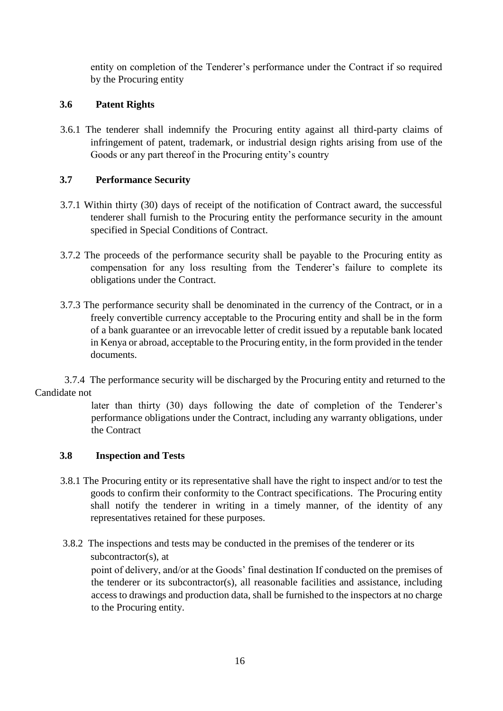entity on completion of the Tenderer's performance under the Contract if so required by the Procuring entity

### **3.6 Patent Rights**

3.6.1 The tenderer shall indemnify the Procuring entity against all third-party claims of infringement of patent, trademark, or industrial design rights arising from use of the Goods or any part thereof in the Procuring entity's country

### **3.7 Performance Security**

- 3.7.1 Within thirty (30) days of receipt of the notification of Contract award, the successful tenderer shall furnish to the Procuring entity the performance security in the amount specified in Special Conditions of Contract.
- 3.7.2 The proceeds of the performance security shall be payable to the Procuring entity as compensation for any loss resulting from the Tenderer's failure to complete its obligations under the Contract.
- 3.7.3 The performance security shall be denominated in the currency of the Contract, or in a freely convertible currency acceptable to the Procuring entity and shall be in the form of a bank guarantee or an irrevocable letter of credit issued by a reputable bank located in Kenya or abroad, acceptable to the Procuring entity, in the form provided in the tender documents.

3.7.4 The performance security will be discharged by the Procuring entity and returned to the Candidate not

> later than thirty (30) days following the date of completion of the Tenderer's performance obligations under the Contract, including any warranty obligations, under the Contract

#### **3.8 Inspection and Tests**

- 3.8.1 The Procuring entity or its representative shall have the right to inspect and/or to test the goods to confirm their conformity to the Contract specifications. The Procuring entity shall notify the tenderer in writing in a timely manner, of the identity of any representatives retained for these purposes.
- 3.8.2 The inspections and tests may be conducted in the premises of the tenderer or its subcontractor(s), at

point of delivery, and/or at the Goods' final destination If conducted on the premises of the tenderer or its subcontractor(s), all reasonable facilities and assistance, including access to drawings and production data, shall be furnished to the inspectors at no charge to the Procuring entity.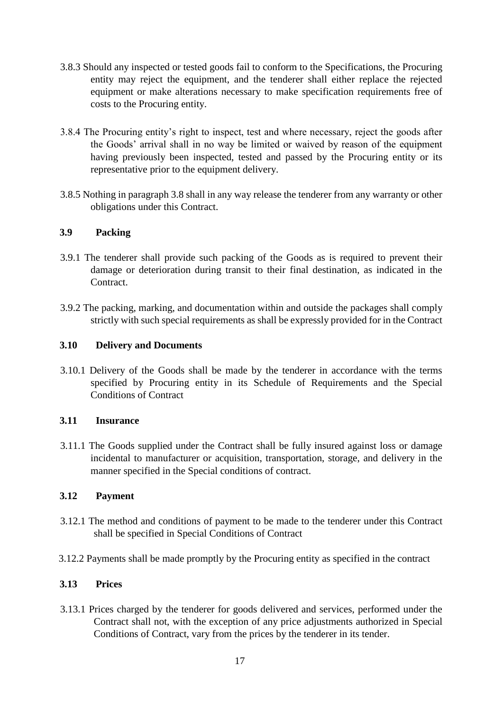- 3.8.3 Should any inspected or tested goods fail to conform to the Specifications, the Procuring entity may reject the equipment, and the tenderer shall either replace the rejected equipment or make alterations necessary to make specification requirements free of costs to the Procuring entity.
- 3.8.4 The Procuring entity's right to inspect, test and where necessary, reject the goods after the Goods' arrival shall in no way be limited or waived by reason of the equipment having previously been inspected, tested and passed by the Procuring entity or its representative prior to the equipment delivery.
- 3.8.5 Nothing in paragraph 3.8 shall in any way release the tenderer from any warranty or other obligations under this Contract.

### **3.9 Packing**

- 3.9.1 The tenderer shall provide such packing of the Goods as is required to prevent their damage or deterioration during transit to their final destination, as indicated in the Contract.
- 3.9.2 The packing, marking, and documentation within and outside the packages shall comply strictly with such special requirements as shall be expressly provided for in the Contract

### **3.10 Delivery and Documents**

3.10.1 Delivery of the Goods shall be made by the tenderer in accordance with the terms specified by Procuring entity in its Schedule of Requirements and the Special Conditions of Contract

#### **3.11 Insurance**

3.11.1 The Goods supplied under the Contract shall be fully insured against loss or damage incidental to manufacturer or acquisition, transportation, storage, and delivery in the manner specified in the Special conditions of contract.

#### **3.12 Payment**

- 3.12.1 The method and conditions of payment to be made to the tenderer under this Contract shall be specified in Special Conditions of Contract
- 3.12.2 Payments shall be made promptly by the Procuring entity as specified in the contract

#### **3.13 Prices**

3.13.1 Prices charged by the tenderer for goods delivered and services, performed under the Contract shall not, with the exception of any price adjustments authorized in Special Conditions of Contract, vary from the prices by the tenderer in its tender.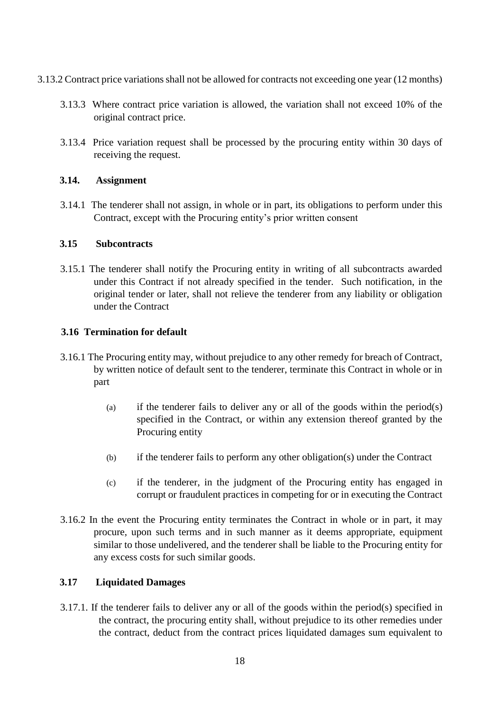- 3.13.2 Contract price variations shall not be allowed for contracts not exceeding one year (12 months)
	- 3.13.3 Where contract price variation is allowed, the variation shall not exceed 10% of the original contract price.
	- 3.13.4 Price variation request shall be processed by the procuring entity within 30 days of receiving the request.

#### **3.14. Assignment**

3.14.1 The tenderer shall not assign, in whole or in part, its obligations to perform under this Contract, except with the Procuring entity's prior written consent

#### **3.15 Subcontracts**

3.15.1 The tenderer shall notify the Procuring entity in writing of all subcontracts awarded under this Contract if not already specified in the tender. Such notification, in the original tender or later, shall not relieve the tenderer from any liability or obligation under the Contract

#### **3.16 Termination for default**

- 3.16.1 The Procuring entity may, without prejudice to any other remedy for breach of Contract, by written notice of default sent to the tenderer, terminate this Contract in whole or in part
	- (a) if the tenderer fails to deliver any or all of the goods within the period(s) specified in the Contract, or within any extension thereof granted by the Procuring entity
	- (b) if the tenderer fails to perform any other obligation(s) under the Contract
	- (c) if the tenderer, in the judgment of the Procuring entity has engaged in corrupt or fraudulent practices in competing for or in executing the Contract
- 3.16.2 In the event the Procuring entity terminates the Contract in whole or in part, it may procure, upon such terms and in such manner as it deems appropriate, equipment similar to those undelivered, and the tenderer shall be liable to the Procuring entity for any excess costs for such similar goods.

#### **3.17 Liquidated Damages**

3.17.1. If the tenderer fails to deliver any or all of the goods within the period(s) specified in the contract, the procuring entity shall, without prejudice to its other remedies under the contract, deduct from the contract prices liquidated damages sum equivalent to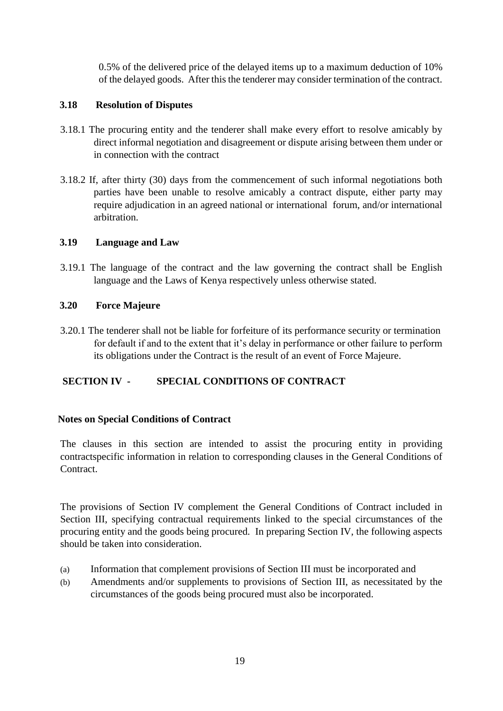0.5% of the delivered price of the delayed items up to a maximum deduction of 10% of the delayed goods. After this the tenderer may consider termination of the contract.

### **3.18 Resolution of Disputes**

- 3.18.1 The procuring entity and the tenderer shall make every effort to resolve amicably by direct informal negotiation and disagreement or dispute arising between them under or in connection with the contract
- 3.18.2 If, after thirty (30) days from the commencement of such informal negotiations both parties have been unable to resolve amicably a contract dispute, either party may require adjudication in an agreed national or international forum, and/or international arbitration.

#### **3.19 Language and Law**

3.19.1 The language of the contract and the law governing the contract shall be English language and the Laws of Kenya respectively unless otherwise stated.

#### **3.20 Force Majeure**

3.20.1 The tenderer shall not be liable for forfeiture of its performance security or termination for default if and to the extent that it's delay in performance or other failure to perform its obligations under the Contract is the result of an event of Force Majeure.

# **SECTION IV - SPECIAL CONDITIONS OF CONTRACT**

#### **Notes on Special Conditions of Contract**

The clauses in this section are intended to assist the procuring entity in providing contractspecific information in relation to corresponding clauses in the General Conditions of Contract.

The provisions of Section IV complement the General Conditions of Contract included in Section III, specifying contractual requirements linked to the special circumstances of the procuring entity and the goods being procured. In preparing Section IV, the following aspects should be taken into consideration.

- (a) Information that complement provisions of Section III must be incorporated and
- (b) Amendments and/or supplements to provisions of Section III, as necessitated by the circumstances of the goods being procured must also be incorporated.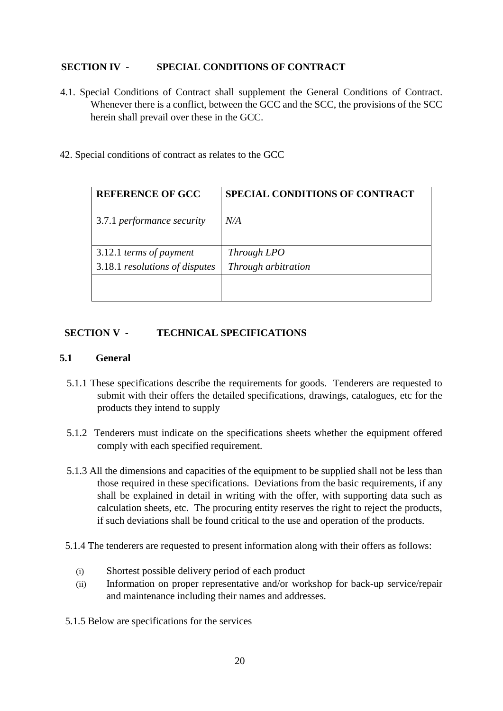#### **SECTION IV - SPECIAL CONDITIONS OF CONTRACT**

- 4.1. Special Conditions of Contract shall supplement the General Conditions of Contract. Whenever there is a conflict, between the GCC and the SCC, the provisions of the SCC herein shall prevail over these in the GCC.
- 42. Special conditions of contract as relates to the GCC

| <b>REFERENCE OF GCC</b>        | SPECIAL CONDITIONS OF CONTRACT |
|--------------------------------|--------------------------------|
| 3.7.1 performance security     | N/A                            |
|                                |                                |
| 3.12.1 terms of payment        | Through LPO                    |
| 3.18.1 resolutions of disputes | Through arbitration            |
|                                |                                |
|                                |                                |

#### **SECTION V - TECHNICAL SPECIFICATIONS**

#### **5.1 General**

- 5.1.1 These specifications describe the requirements for goods. Tenderers are requested to submit with their offers the detailed specifications, drawings, catalogues, etc for the products they intend to supply
- 5.1.2 Tenderers must indicate on the specifications sheets whether the equipment offered comply with each specified requirement.
- 5.1.3 All the dimensions and capacities of the equipment to be supplied shall not be less than those required in these specifications. Deviations from the basic requirements, if any shall be explained in detail in writing with the offer, with supporting data such as calculation sheets, etc. The procuring entity reserves the right to reject the products, if such deviations shall be found critical to the use and operation of the products.
- 5.1.4 The tenderers are requested to present information along with their offers as follows:
	- (i) Shortest possible delivery period of each product
	- (ii) Information on proper representative and/or workshop for back-up service/repair and maintenance including their names and addresses.
- 5.1.5 Below are specifications for the services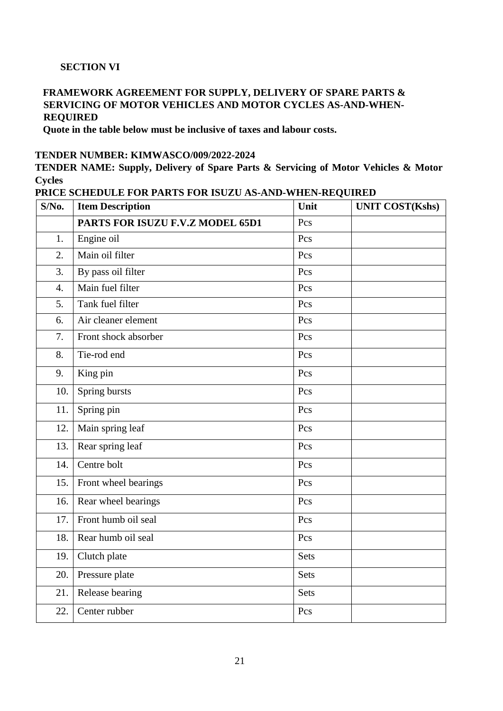### **SECTION VI**

#### **FRAMEWORK AGREEMENT FOR SUPPLY, DELIVERY OF SPARE PARTS & SERVICING OF MOTOR VEHICLES AND MOTOR CYCLES AS-AND-WHEN-REQUIRED**

**Quote in the table below must be inclusive of taxes and labour costs.**

#### **TENDER NUMBER: KIMWASCO/009/2022-2024**

**TENDER NAME: Supply, Delivery of Spare Parts & Servicing of Motor Vehicles & Motor Cycles** 

| PRICE SCHEDULE FOR PARTS FOR ISUZU AS-AND-WHEN-REQUIRED |  |  |  |  |
|---------------------------------------------------------|--|--|--|--|
|---------------------------------------------------------|--|--|--|--|

| $S/N0$ .         | <b>Item Description</b>          | Unit        | <b>UNIT COST(Kshs)</b> |
|------------------|----------------------------------|-------------|------------------------|
|                  | PARTS FOR ISUZU F.V.Z MODEL 65D1 | Pcs         |                        |
| 1.               | Engine oil                       | Pcs         |                        |
| 2.               | Main oil filter                  | Pcs         |                        |
| 3.               | By pass oil filter               | Pcs         |                        |
| $\overline{4}$ . | Main fuel filter                 | Pcs         |                        |
| 5.               | Tank fuel filter                 | Pcs         |                        |
| 6.               | Air cleaner element              | Pcs         |                        |
| 7.               | Front shock absorber             | Pcs         |                        |
| 8.               | Tie-rod end                      | Pcs         |                        |
| 9.               | King pin                         | Pcs         |                        |
| 10.              | Spring bursts                    | Pcs         |                        |
| 11.              | Spring pin                       | Pcs         |                        |
| 12.              | Main spring leaf                 | Pcs         |                        |
| 13.              | Rear spring leaf                 | Pcs         |                        |
| 14.              | Centre bolt                      | Pcs         |                        |
| 15.              | Front wheel bearings             | Pcs         |                        |
| 16.              | Rear wheel bearings              | Pcs         |                        |
| 17.              | Front humb oil seal              | Pcs         |                        |
| 18.              | Rear humb oil seal               | Pcs         |                        |
| 19.              | Clutch plate                     | <b>Sets</b> |                        |
| 20.              | Pressure plate                   | Sets        |                        |
| 21.              | Release bearing                  | Sets        |                        |
| 22.              | Center rubber                    | Pcs         |                        |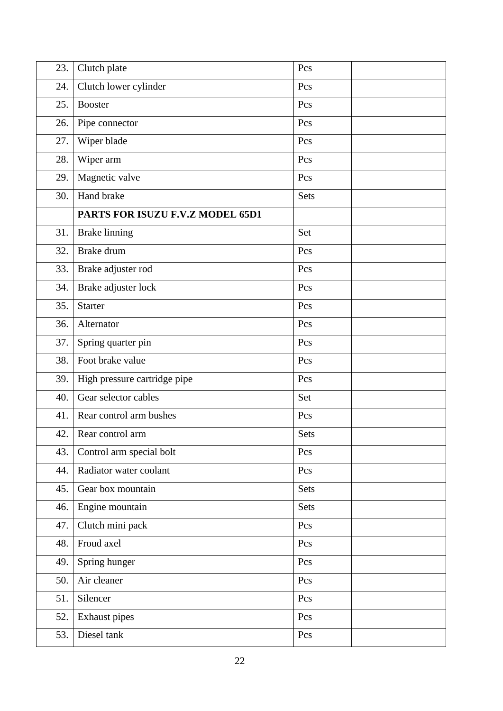| 23. | Clutch plate                     | Pcs  |  |
|-----|----------------------------------|------|--|
| 24. | Clutch lower cylinder            | Pcs  |  |
| 25. | <b>Booster</b>                   | Pcs  |  |
| 26. | Pipe connector                   | Pcs  |  |
| 27. | Wiper blade                      | Pcs  |  |
| 28. | Wiper arm                        | Pcs  |  |
| 29. | Magnetic valve                   | Pcs  |  |
| 30. | Hand brake                       | Sets |  |
|     | PARTS FOR ISUZU F.V.Z MODEL 65D1 |      |  |
| 31. | <b>Brake linning</b>             | Set  |  |
| 32. | Brake drum                       | Pcs  |  |
| 33. | Brake adjuster rod               | Pcs  |  |
| 34. | Brake adjuster lock              | Pcs  |  |
| 35. | <b>Starter</b>                   | Pcs  |  |
| 36. | Alternator                       | Pcs  |  |
| 37. | Spring quarter pin               | Pcs  |  |
| 38. | Foot brake value                 | Pcs  |  |
| 39. | High pressure cartridge pipe     | Pcs  |  |
| 40. | Gear selector cables             | Set  |  |
| 41. | Rear control arm bushes          | Pcs  |  |
| 42. | Rear control arm                 | Sets |  |
| 43. | Control arm special bolt         | Pcs  |  |
| 44. | Radiator water coolant           | Pcs  |  |
| 45. | Gear box mountain                | Sets |  |
| 46. | Engine mountain                  | Sets |  |
| 47. | Clutch mini pack                 | Pcs  |  |
| 48. | Froud axel                       | Pcs  |  |
| 49. | Spring hunger                    | Pcs  |  |
| 50. | Air cleaner                      | Pcs  |  |
| 51. | Silencer                         | Pcs  |  |
| 52. | Exhaust pipes                    | Pcs  |  |
| 53. | Diesel tank                      | Pcs  |  |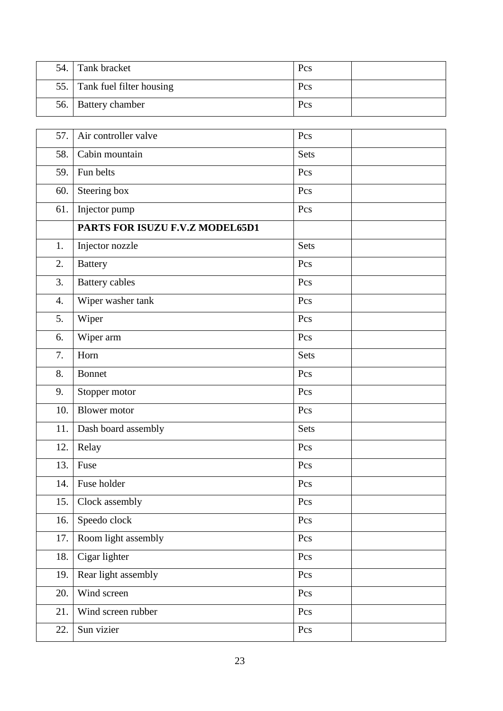| 54. Tank bracket             | Pcs |  |
|------------------------------|-----|--|
| 55. Tank fuel filter housing | Pcs |  |
| 56.   Battery chamber        | Pcs |  |

| 57.              | Air controller valve            | Pcs  |  |
|------------------|---------------------------------|------|--|
| 58.              | Cabin mountain                  | Sets |  |
| 59.              | Fun belts                       | Pcs  |  |
| 60.              | Steering box                    | Pcs  |  |
| 61.              | Injector pump                   | Pcs  |  |
|                  | PARTS FOR ISUZU F.V.Z MODEL65D1 |      |  |
| 1.               | Injector nozzle                 | Sets |  |
| 2.               | <b>Battery</b>                  | Pcs  |  |
| 3.               | <b>Battery</b> cables           | Pcs  |  |
| $\overline{4}$ . | Wiper washer tank               | Pcs  |  |
| 5.               | Wiper                           | Pcs  |  |
| 6.               | Wiper arm                       | Pcs  |  |
| 7.               | Horn                            | Sets |  |
| 8.               | <b>Bonnet</b>                   | Pcs  |  |
| 9.               | Stopper motor                   | Pcs  |  |
| 10.              | <b>Blower</b> motor             | Pcs  |  |
| 11.              | Dash board assembly             | Sets |  |
| 12.              | Relay                           | Pcs  |  |
| 13.              | Fuse                            | Pcs  |  |
| 14.              | Fuse holder                     | Pcs  |  |
|                  | 15. Clock assembly              | Pcs  |  |
| 16.              | Speedo clock                    | Pcs  |  |
| 17.              | Room light assembly             | Pcs  |  |
| 18.              | Cigar lighter                   | Pcs  |  |
| 19.              | Rear light assembly             | Pcs  |  |
| 20.              | Wind screen                     | Pcs  |  |
| 21.              | Wind screen rubber              | Pcs  |  |
| 22.              | Sun vizier                      | Pcs  |  |
|                  |                                 |      |  |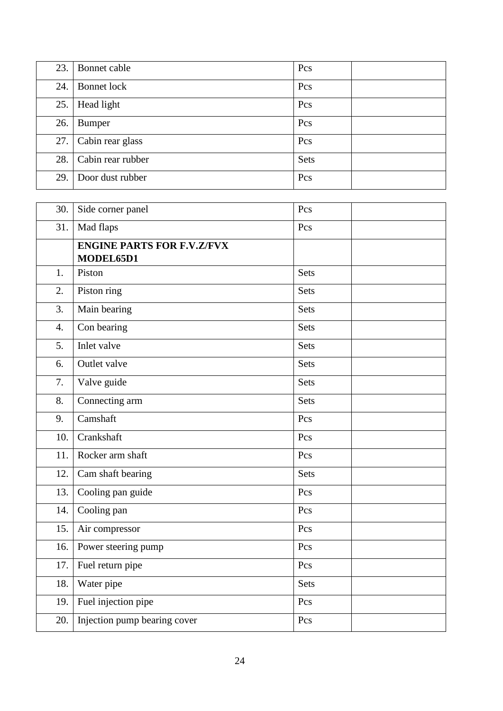| 23. | Bonnet cable          | Pcs         |  |
|-----|-----------------------|-------------|--|
| 24. | Bonnet lock           | Pcs         |  |
| 25. | Head light            | Pcs         |  |
| 26. | <b>Bumper</b>         | Pcs         |  |
|     | 27. Cabin rear glass  | Pcs         |  |
|     | 28. Cabin rear rubber | <b>Sets</b> |  |
| 29. | Door dust rubber      | Pcs         |  |

| 30.              | Side corner panel                              | Pcs         |  |
|------------------|------------------------------------------------|-------------|--|
| 31.              | Mad flaps                                      | Pcs         |  |
|                  | <b>ENGINE PARTS FOR F.V.Z/FVX</b><br>MODEL65D1 |             |  |
| 1.               | Piston                                         | Sets        |  |
| 2.               | Piston ring                                    | Sets        |  |
| 3.               | Main bearing                                   | <b>Sets</b> |  |
| $\overline{4}$ . | Con bearing                                    | Sets        |  |
| 5.               | Inlet valve                                    | Sets        |  |
| 6.               | Outlet valve                                   | Sets        |  |
| 7.               | Valve guide                                    | <b>Sets</b> |  |
| 8.               | Connecting arm                                 | Sets        |  |
| 9.               | Camshaft                                       | Pcs         |  |
| 10.              | Crankshaft                                     | Pcs         |  |
| 11.              | Rocker arm shaft                               | Pcs         |  |
| 12.              | Cam shaft bearing                              | Sets        |  |
| 13.              | Cooling pan guide                              | Pcs         |  |
| 14.              | Cooling pan                                    | Pcs         |  |
| 15.              | Air compressor                                 | Pcs         |  |
| 16.              | Power steering pump                            | Pcs         |  |
| 17.              | Fuel return pipe                               | Pcs         |  |
| 18.              | Water pipe                                     | <b>Sets</b> |  |
| 19.              | Fuel injection pipe                            | Pcs         |  |
| 20.              | Injection pump bearing cover                   | Pcs         |  |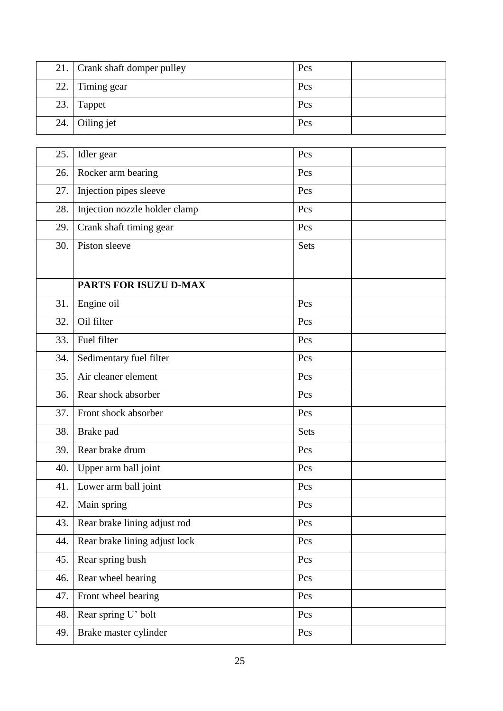| 21. Crank shaft domper pulley | Pcs |  |
|-------------------------------|-----|--|
| 22. Timing gear               | Pcs |  |
| $23.$ Tappet                  | Pcs |  |
| 24. Oiling jet                | Pcs |  |

| 25. | Idler gear                    | Pcs                     |  |
|-----|-------------------------------|-------------------------|--|
| 26. | Rocker arm bearing            | Pcs                     |  |
| 27. | Injection pipes sleeve        | Pcs                     |  |
| 28. | Injection nozzle holder clamp | Pcs                     |  |
| 29. | Crank shaft timing gear       | Pcs                     |  |
| 30. | Piston sleeve                 | Sets                    |  |
|     |                               |                         |  |
|     | PARTS FOR ISUZU D-MAX         |                         |  |
| 31. | Engine oil                    | Pcs                     |  |
| 32. | Oil filter                    | Pcs                     |  |
| 33. | Fuel filter                   | Pcs                     |  |
| 34. | Sedimentary fuel filter       | Pcs                     |  |
| 35. | Air cleaner element           | Pcs                     |  |
| 36. | Rear shock absorber           | Pcs                     |  |
| 37. | Front shock absorber          | Pcs                     |  |
| 38. | Brake pad                     | Sets                    |  |
| 39. | Rear brake drum               | Pcs                     |  |
| 40. | Upper arm ball joint          | Pcs                     |  |
| 41. | Lower arm ball joint          | Pcs                     |  |
| 42. | Main spring                   | Pcs                     |  |
| 43. | Rear brake lining adjust rod  | $\mathop{\mathrm{PCs}}$ |  |
| 44. | Rear brake lining adjust lock | Pcs                     |  |
| 45. | Rear spring bush              | Pcs                     |  |
| 46. | Rear wheel bearing            | Pcs                     |  |
| 47. | Front wheel bearing           | Pcs                     |  |
| 48. | Rear spring U' bolt           | Pcs                     |  |
| 49. | Brake master cylinder         | Pcs                     |  |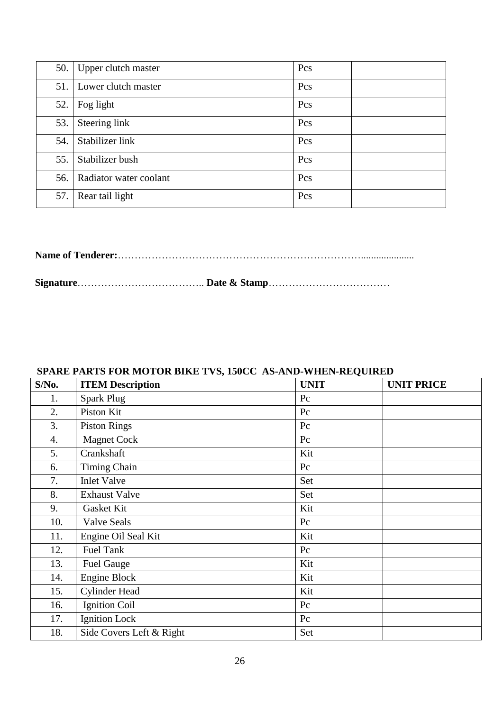|     | 50. Upper clutch master      | Pcs |  |
|-----|------------------------------|-----|--|
|     | 51. Lower clutch master      | Pcs |  |
| 52. | Fog light                    | Pcs |  |
| 53. | Steering link                | Pcs |  |
| 54. | Stabilizer link              | Pcs |  |
| 55. | Stabilizer bush              | Pcs |  |
|     | 56.   Radiator water coolant | Pcs |  |
| 57. | Rear tail light              | Pcs |  |

**Name of Tenderer:**……………………………………………………………….....................

**Signature**……………………………….. **Date & Stamp**………………………………

# **SPARE PARTS FOR MOTOR BIKE TVS, 150CC AS-AND-WHEN-REQUIRED**

| S/No. | <b>ITEM Description</b>  | <b>UNIT</b> | <b>UNIT PRICE</b> |
|-------|--------------------------|-------------|-------------------|
| 1.    | <b>Spark Plug</b>        | Pc          |                   |
| 2.    | Piston Kit               | Pc          |                   |
| 3.    | <b>Piston Rings</b>      | Pc          |                   |
| 4.    | <b>Magnet Cock</b>       | Pc          |                   |
| 5.    | Crankshaft               | Kit         |                   |
| 6.    | <b>Timing Chain</b>      | Pc          |                   |
| 7.    | <b>Inlet Valve</b>       | Set         |                   |
| 8.    | <b>Exhaust Valve</b>     | Set         |                   |
| 9.    | Gasket Kit               | Kit         |                   |
| 10.   | <b>Valve Seals</b>       | Pc          |                   |
| 11.   | Engine Oil Seal Kit      | Kit         |                   |
| 12.   | Fuel Tank                | Pc          |                   |
| 13.   | <b>Fuel Gauge</b>        | Kit         |                   |
| 14.   | Engine Block             | Kit         |                   |
| 15.   | <b>Cylinder Head</b>     | Kit         |                   |
| 16.   | <b>Ignition Coil</b>     | Pc          |                   |
| 17.   | <b>Ignition Lock</b>     | Pc          |                   |
| 18.   | Side Covers Left & Right | Set         |                   |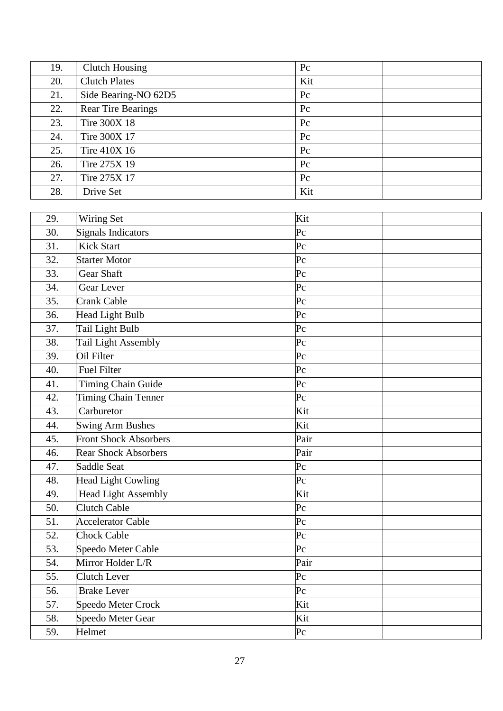| 19. | <b>Clutch Housing</b>     | Pc          |
|-----|---------------------------|-------------|
| 20. | <b>Clutch Plates</b>      | Kit         |
| 21. | Side Bearing-NO 62D5      | $P_{c}$     |
| 22. | <b>Rear Tire Bearings</b> | $P_{c}$     |
| 23. | Tire 300X 18              | $P_{\rm C}$ |
| 24. | Tire 300X 17              | $P_{c}$     |
| 25. | Tire 410X 16              | $P_{c}$     |
| 26. | Tire 275X 19              | $P_{c}$     |
| 27. | Tire 275X 17              | $P_{c}$     |
| 28. | Drive Set                 | Kit         |

| 29. | Wiring Set                   | Kit         |
|-----|------------------------------|-------------|
| 30. | <b>Signals Indicators</b>    | $P_{\rm C}$ |
| 31. | <b>Kick Start</b>            | $P_{\rm C}$ |
| 32. | <b>Starter Motor</b>         | $P_{\rm C}$ |
| 33. | <b>Gear Shaft</b>            | $P_{\rm C}$ |
| 34. | Gear Lever                   | $P_{\rm C}$ |
| 35. | <b>Crank Cable</b>           | $P_{\rm C}$ |
| 36. | <b>Head Light Bulb</b>       | $P_{\rm C}$ |
| 37. | Tail Light Bulb              | $P_{\rm C}$ |
| 38. | <b>Tail Light Assembly</b>   | $P_{\rm C}$ |
| 39. | Oil Filter                   | $P_{\rm C}$ |
| 40. | <b>Fuel Filter</b>           | $P_{\rm C}$ |
| 41. | Timing Chain Guide           | $P_{\rm C}$ |
| 42. | Timing Chain Tenner          | $P_{\rm C}$ |
| 43. | Carburetor                   | Kit         |
| 44. | <b>Swing Arm Bushes</b>      | Kit         |
| 45. | <b>Front Shock Absorbers</b> | Pair        |
| 46. | Rear Shock Absorbers         | Pair        |
| 47. | Saddle Seat                  | $P_{\rm C}$ |
| 48. | Head Light Cowling           | $P_{\rm C}$ |
| 49. | <b>Head Light Assembly</b>   | Kit         |
| 50. | <b>Clutch Cable</b>          | $P_{\rm C}$ |
| 51. | <b>Accelerator Cable</b>     | $P_{\rm C}$ |
| 52. | <b>Chock Cable</b>           | $P_{\rm C}$ |
| 53. | Speedo Meter Cable           | $P_{\rm C}$ |
| 54. | Mirror Holder L/R            | Pair        |
| 55. | <b>Clutch Lever</b>          | $P_{\rm C}$ |
| 56. | <b>Brake Lever</b>           | $P_{\rm C}$ |
| 57. | Speedo Meter Crock           | Kit         |
| 58. | Speedo Meter Gear            | Kit         |
| 59. | Helmet                       | $P_{\rm C}$ |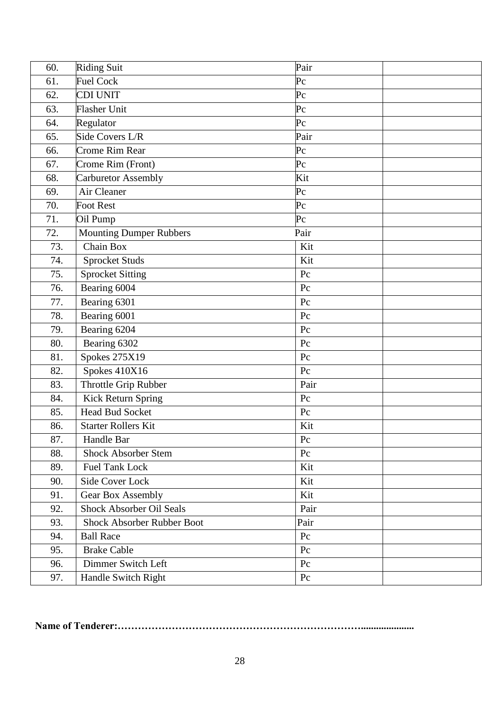| 60. | <b>Riding Suit</b>                | Pair        |
|-----|-----------------------------------|-------------|
| 61. | <b>Fuel Cock</b>                  | $P_{\rm C}$ |
| 62. | <b>CDI UNIT</b>                   | $P_{\rm C}$ |
| 63. | <b>Flasher Unit</b>               | $P_{\rm C}$ |
| 64. | Regulator                         | $P_{\rm C}$ |
| 65. | Side Covers L/R                   | Pair        |
| 66. | <b>Crome Rim Rear</b>             | $P_{\rm C}$ |
| 67. | Crome Rim (Front)                 | $P_{\rm C}$ |
| 68. | <b>Carburetor Assembly</b>        | Kit         |
| 69. | Air Cleaner                       | $P_{\rm C}$ |
| 70. | <b>Foot Rest</b>                  | $P_{\rm C}$ |
| 71. | Oil Pump                          | $P_{\rm C}$ |
| 72. | <b>Mounting Dumper Rubbers</b>    | Pair        |
| 73. | Chain Box                         | Kit         |
| 74. | <b>Sprocket Studs</b>             | Kit         |
| 75. | <b>Sprocket Sitting</b>           | Pc          |
| 76. | Bearing 6004                      | Pc          |
| 77. | Bearing 6301                      | Pc          |
| 78. | Bearing 6001                      | Pc          |
| 79. | Bearing 6204                      | Pc          |
| 80. | Bearing 6302                      | Pc          |
| 81. | <b>Spokes 275X19</b>              | Pc          |
| 82. | Spokes 410X16                     | Pc          |
| 83. | Throttle Grip Rubber              | Pair        |
| 84. | Kick Return Spring                | Pc          |
| 85. | <b>Head Bud Socket</b>            | Pc          |
| 86. | <b>Starter Rollers Kit</b>        | Kit         |
| 87. | Handle Bar                        | $\rm{P}c$   |
| 88. | <b>Shock Absorber Stem</b>        | Pc          |
| 89. | <b>Fuel Tank Lock</b>             | Kit         |
| 90. | Side Cover Lock                   | Kit         |
| 91. | <b>Gear Box Assembly</b>          | Kit         |
| 92. | Shock Absorber Oil Seals          | Pair        |
| 93. | <b>Shock Absorber Rubber Boot</b> | Pair        |
| 94. | <b>Ball Race</b>                  | Pc          |
| 95. | <b>Brake Cable</b>                | Pc          |
| 96. | Dimmer Switch Left                | Pc          |
| 97. | Handle Switch Right               | Pc          |

**Name of Tenderer:……………………………………………………………….....................**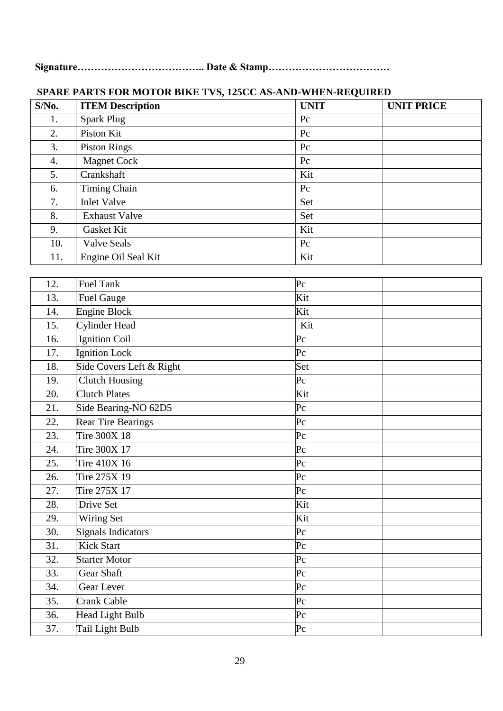**Signature……………………………….. Date & Stamp………………………………** 

| $S/N0$ . | <b>ITEM Description</b> | <b>UNIT</b> | <b>UNIT PRICE</b> |
|----------|-------------------------|-------------|-------------------|
| 1.       | <b>Spark Plug</b>       | Pc          |                   |
| 2.       | Piston Kit              | $P_{c}$     |                   |
| 3.       | <b>Piston Rings</b>     | $P_{c}$     |                   |
| 4.       | <b>Magnet Cock</b>      | $P_{c}$     |                   |
| 5.       | Crankshaft              | Kit         |                   |
| 6.       | Timing Chain            | $P_{c}$     |                   |
| 7.       | <b>Inlet Valve</b>      | Set         |                   |
| 8.       | <b>Exhaust Valve</b>    | Set         |                   |
| 9.       | Gasket Kit              | Kit         |                   |
| 10.      | <b>Valve Seals</b>      | $P_{c}$     |                   |
| 11.      | Engine Oil Seal Kit     | Kit         |                   |

# **SPARE PARTS FOR MOTOR BIKE TVS, 125CC AS-AND-WHEN-REQUIRED**

| 12. | <b>Fuel Tank</b>          | Pc          |
|-----|---------------------------|-------------|
| 13. | <b>Fuel Gauge</b>         | Kit         |
| 14. | <b>Engine Block</b>       | Kit         |
| 15. | Cylinder Head             | Kit         |
| 16. | Ignition Coil             | $P_{\rm C}$ |
| 17. | Ignition Lock             | $P_{\rm C}$ |
| 18. | Side Covers Left & Right  | Set         |
| 19. | <b>Clutch Housing</b>     | $P_{\rm C}$ |
| 20. | <b>Clutch Plates</b>      | Kit         |
| 21. | Side Bearing-NO 62D5      | $P_{\rm C}$ |
| 22. | <b>Rear Tire Bearings</b> | $P_{\rm C}$ |
| 23. | Tire 300X 18              | $P_{\rm C}$ |
| 24. | Tire 300X 17              | Pc          |
| 25. | Tire 410X 16              | $P_{\rm C}$ |
| 26. | Tire 275X 19              | $P_{\rm C}$ |
| 27. | Tire 275X 17              | $P_{\rm C}$ |
| 28. | Drive Set                 | Kit         |
| 29. | Wiring Set                | Kit         |
| 30. | <b>Signals Indicators</b> | $P_{\rm C}$ |
| 31. | <b>Kick Start</b>         | $P_{\rm C}$ |
| 32. | <b>Starter Motor</b>      | $P_{\rm C}$ |
| 33. | Gear Shaft                | $P_{\rm C}$ |
| 34. | Gear Lever                | $P_{\rm C}$ |
| 35. | Crank Cable               | $P_{\rm C}$ |
| 36. | <b>Head Light Bulb</b>    | $P_{\rm C}$ |
| 37. | Tail Light Bulb           | Pc          |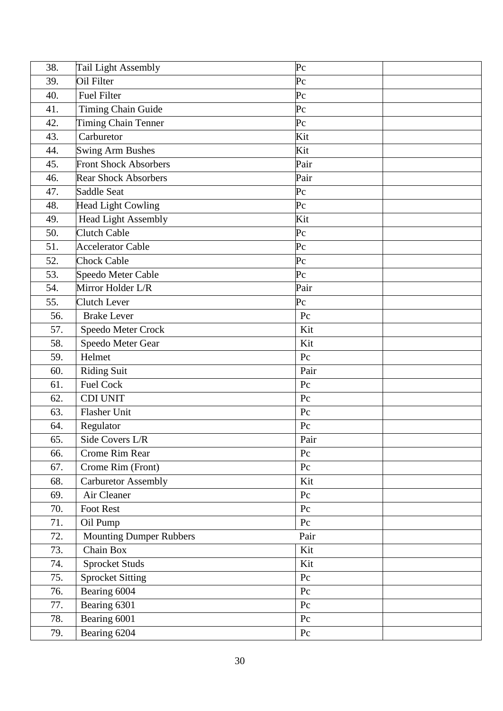| 38. | Tail Light Assembly            | $P_{\rm C}$ |  |
|-----|--------------------------------|-------------|--|
| 39. | Oil Filter                     | $P_{\rm C}$ |  |
| 40. | <b>Fuel Filter</b>             | $P_{\rm C}$ |  |
| 41. | Timing Chain Guide             | $P_{\rm C}$ |  |
| 42. | Timing Chain Tenner            | $P_{\rm C}$ |  |
| 43. | Carburetor                     | Kit         |  |
| 44. | <b>Swing Arm Bushes</b>        | Kit         |  |
| 45. | <b>Front Shock Absorbers</b>   | Pair        |  |
| 46. | <b>Rear Shock Absorbers</b>    | Pair        |  |
| 47. | Saddle Seat                    | $P_{\rm C}$ |  |
| 48. | <b>Head Light Cowling</b>      | $P_{\rm C}$ |  |
| 49. | Head Light Assembly            | Kit         |  |
| 50. | <b>Clutch Cable</b>            | $P_{\rm C}$ |  |
| 51. | <b>Accelerator Cable</b>       | $P_{\rm C}$ |  |
| 52. | <b>Chock Cable</b>             | $P_{\rm C}$ |  |
| 53. | Speedo Meter Cable             | $P_{\rm C}$ |  |
| 54. | Mirror Holder L/R              | Pair        |  |
| 55. | Clutch Lever                   | $P_{\rm C}$ |  |
| 56. | <b>Brake Lever</b>             | Pc          |  |
| 57. | Speedo Meter Crock             | Kit         |  |
| 58. | Speedo Meter Gear              | Kit         |  |
| 59. | Helmet                         | Pc          |  |
| 60. | <b>Riding Suit</b>             | Pair        |  |
| 61. | <b>Fuel Cock</b>               | Pc          |  |
| 62. | <b>CDI UNIT</b>                | Pc          |  |
| 63. | Flasher Unit                   | Pc          |  |
| 64. | Regulator                      | Pc          |  |
| 65. | Side Covers L/R                | Pair        |  |
| 66. | <b>Crome Rim Rear</b>          | Pc          |  |
| 67. | Crome Rim (Front)              | Pc          |  |
| 68. | <b>Carburetor Assembly</b>     | Kit         |  |
| 69. | Air Cleaner                    | $P_{C}$     |  |
| 70. | Foot Rest                      | Pc          |  |
| 71. | Oil Pump                       | Pc          |  |
| 72. | <b>Mounting Dumper Rubbers</b> | Pair        |  |
| 73. | Chain Box                      | Kit         |  |
| 74. | <b>Sprocket Studs</b>          | Kit         |  |
| 75. | <b>Sprocket Sitting</b>        | Pc          |  |
| 76. | Bearing 6004                   | Pc          |  |
| 77. | Bearing 6301                   | Pc          |  |
| 78. | Bearing 6001                   | Pc          |  |
| 79. | Bearing 6204                   | Pc          |  |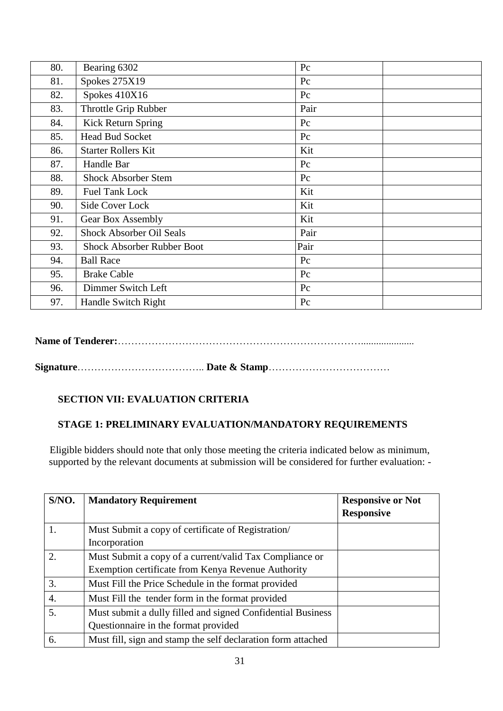| 80. | Bearing 6302                      | Pc   |  |
|-----|-----------------------------------|------|--|
| 81. | <b>Spokes 275X19</b>              | Pc   |  |
| 82. | Spokes 410X16                     | Pc   |  |
| 83. | Throttle Grip Rubber              | Pair |  |
| 84. | Kick Return Spring                | Pc   |  |
| 85. | <b>Head Bud Socket</b>            | Pc   |  |
| 86. | <b>Starter Rollers Kit</b>        | Kit  |  |
| 87. | Handle Bar                        | Pc   |  |
| 88. | <b>Shock Absorber Stem</b>        | Pc   |  |
| 89. | <b>Fuel Tank Lock</b>             | Kit  |  |
| 90. | Side Cover Lock                   | Kit  |  |
| 91. | Gear Box Assembly                 | Kit  |  |
| 92. | <b>Shock Absorber Oil Seals</b>   | Pair |  |
| 93. | <b>Shock Absorber Rubber Boot</b> | Pair |  |
| 94. | <b>Ball Race</b>                  | Pc   |  |
| 95. | <b>Brake Cable</b>                | Pc   |  |
| 96. | Dimmer Switch Left                | Pc   |  |
| 97. | Handle Switch Right               | Pc   |  |

**Name of Tenderer:**……………………………………………………………….....................

**Signature**……………………………….. **Date & Stamp**………………………………

# **SECTION VII: EVALUATION CRITERIA**

#### **STAGE 1: PRELIMINARY EVALUATION/MANDATORY REQUIREMENTS**

Eligible bidders should note that only those meeting the criteria indicated below as minimum, supported by the relevant documents at submission will be considered for further evaluation: -

| S/NO.                  | <b>Mandatory Requirement</b>                                 | <b>Responsive or Not</b> |
|------------------------|--------------------------------------------------------------|--------------------------|
|                        |                                                              | <b>Responsive</b>        |
| 1.                     | Must Submit a copy of certificate of Registration/           |                          |
|                        | Incorporation                                                |                          |
| $\mathcal{D}_{\alpha}$ | Must Submit a copy of a current/valid Tax Compliance or      |                          |
|                        | Exemption certificate from Kenya Revenue Authority           |                          |
| 3.                     | Must Fill the Price Schedule in the format provided          |                          |
| 4.                     | Must Fill the tender form in the format provided             |                          |
| 5.                     | Must submit a dully filled and signed Confidential Business  |                          |
|                        | Questionnaire in the format provided                         |                          |
| 6.                     | Must fill, sign and stamp the self declaration form attached |                          |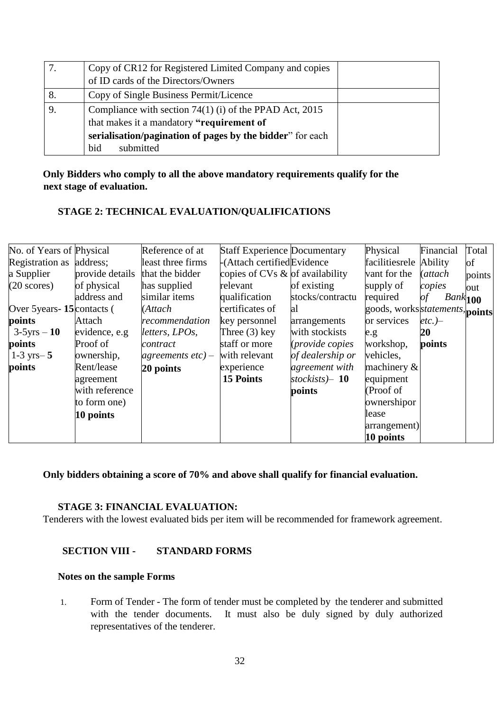|    | Copy of CR12 for Registered Limited Company and copies    |  |
|----|-----------------------------------------------------------|--|
|    | of ID cards of the Directors/Owners                       |  |
| 8. | Copy of Single Business Permit/Licence                    |  |
| 9. | Compliance with section $74(1)$ (i) of the PPAD Act, 2015 |  |
|    | that makes it a mandatory "requirement of                 |  |
|    | serialisation/pagination of pages by the bidder" for each |  |
|    | submitted<br>bid                                          |  |

#### **Only Bidders who comply to all the above mandatory requirements qualify for the next stage of evaluation.**

# **STAGE 2: TECHNICAL EVALUATION/QUALIFICATIONS**

| No. of Years of Physical     |                 | Reference of at      | <b>Staff Experience Documentary</b> |                        | Physical                        | Financial        | Total  |
|------------------------------|-----------------|----------------------|-------------------------------------|------------------------|---------------------------------|------------------|--------|
| Registration as address;     |                 | least three firms    | -(Attach certified Evidence         |                        | facilitiesrele                  | Ability          | of     |
| a Supplier                   | provide details | that the bidder      | copies of CVs & of availability     |                        | vant for the                    | (attach          | points |
| $(20 \text{ scores})$        | of physical     | has supplied         | relevant                            | of existing            | supply of                       | copies           | out    |
|                              | address and     | similar items        | qualification                       | stocks/contractu       | required                        | of<br>$Bank$ 100 |        |
| Over 5 years - 15 contacts ( |                 | (Attach              | certificates of                     | al                     | goods, works statements, points |                  |        |
| points                       | Attach          | recommendation       | key personnel                       | arrangements           | or services                     | $etc.$ )-        |        |
| $3-5yrs - 10$                | evidence, e.g   | letters, LPOs,       | Three $(3)$ key                     | with stockists         | e.g.                            | 20               |        |
| points                       | Proof of        | contract             | staff or more                       | <i>(provide copies</i> | workshop,                       | points           |        |
| $1-3$ yrs $-5$               | ownership,      | agreements $etc$ ) – | with relevant                       | of dealership or       | vehicles,                       |                  |        |
| points                       | Rent/lease      | 20 points            | experience                          | agreement with         | machinery $\&$                  |                  |        |
|                              | agreement       |                      | <b>15 Points</b>                    | stockists $-10$        | equipment                       |                  |        |
|                              | with reference  |                      |                                     | points                 | (Proof of                       |                  |        |
|                              | to form one)    |                      |                                     |                        | ownershipor                     |                  |        |
|                              | 10 points       |                      |                                     |                        | lease                           |                  |        |
|                              |                 |                      |                                     |                        | arrangement)                    |                  |        |
|                              |                 |                      |                                     |                        | 10 points                       |                  |        |

**Only bidders obtaining a score of 70% and above shall qualify for financial evaluation.** 

#### **STAGE 3: FINANCIAL EVALUATION:**

Tenderers with the lowest evaluated bids per item will be recommended for framework agreement.

#### **SECTION VIII - STANDARD FORMS**

#### **Notes on the sample Forms**

1. Form of Tender - The form of tender must be completed by the tenderer and submitted with the tender documents. It must also be duly signed by duly authorized representatives of the tenderer.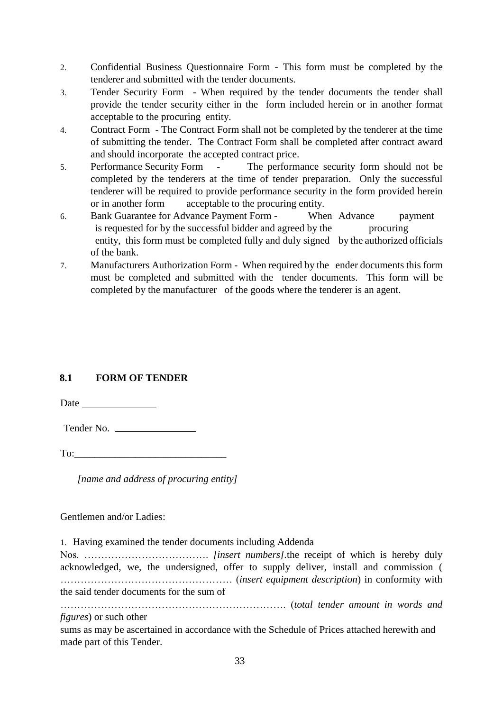- 2. Confidential Business Questionnaire Form This form must be completed by the tenderer and submitted with the tender documents.
- 3. Tender Security Form When required by the tender documents the tender shall provide the tender security either in the form included herein or in another format acceptable to the procuring entity.
- 4. Contract Form The Contract Form shall not be completed by the tenderer at the time of submitting the tender. The Contract Form shall be completed after contract award and should incorporate the accepted contract price.
- 5. Performance Security Form The performance security form should not be completed by the tenderers at the time of tender preparation. Only the successful tenderer will be required to provide performance security in the form provided herein or in another form acceptable to the procuring entity.
- 6. Bank Guarantee for Advance Payment Form When Advance payment is requested for by the successful bidder and agreed by the procuring entity, this form must be completed fully and duly signed by the authorized officials of the bank.
- 7. Manufacturers Authorization Form When required by the ender documents this form must be completed and submitted with the tender documents. This form will be completed by the manufacturer of the goods where the tenderer is an agent.

# **8.1 FORM OF TENDER**

Date and the same state of the state of the state of the state of the state of the state of the state of the state of the state of the state of the state of the state of the state of the state of the state of the state of

Tender No.

To:

*[name and address of procuring entity]* 

Gentlemen and/or Ladies:

1. Having examined the tender documents including Addenda

Nos. ………………………………. *[insert numbers].*the receipt of which is hereby duly acknowledged, we, the undersigned, offer to supply deliver, install and commission ( …………………………………………… (*insert equipment description*) in conformity with the said tender documents for the sum of

…………………………………………………………. (*total tender amount in words and figures*) or such other

sums as may be ascertained in accordance with the Schedule of Prices attached herewith and made part of this Tender.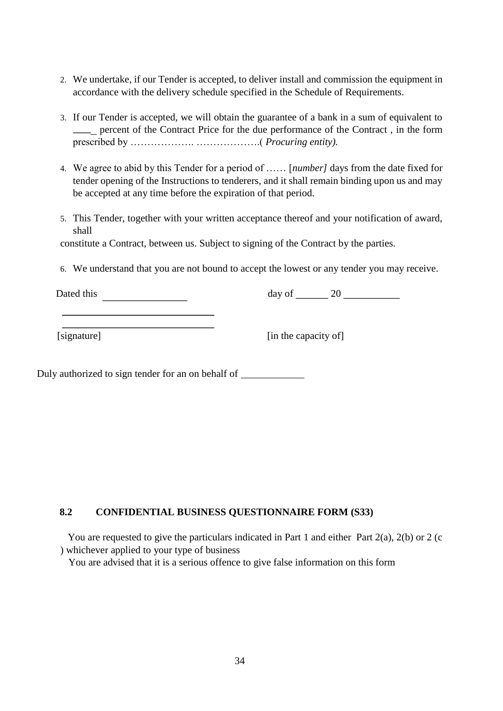- 2. We undertake, if our Tender is accepted, to deliver install and commission the equipment in accordance with the delivery schedule specified in the Schedule of Requirements.
- 3. If our Tender is accepted, we will obtain the guarantee of a bank in a sum of equivalent to percent of the Contract Price for the due performance of the Contract , in the form prescribed by ………………. ……………….( *Procuring entity).*
- 4. We agree to abid by this Tender for a period of …… [*number]* days from the date fixed for tender opening of the Instructions to tenderers, and it shall remain binding upon us and may be accepted at any time before the expiration of that period.
- 5. This Tender, together with your written acceptance thereof and your notification of award, shall

constitute a Contract, between us. Subject to signing of the Contract by the parties.

6. We understand that you are not bound to accept the lowest or any tender you may receive.

Dated this  $\frac{1}{20}$  day of  $\frac{20}{20}$ 

[signature] [in the capacity of]

Duly authorized to sign tender for an on behalf of

#### **8.2 CONFIDENTIAL BUSINESS QUESTIONNAIRE FORM (S33)**

 You are requested to give the particulars indicated in Part 1 and either Part 2(a), 2(b) or 2 (c ) whichever applied to your type of business

You are advised that it is a serious offence to give false information on this form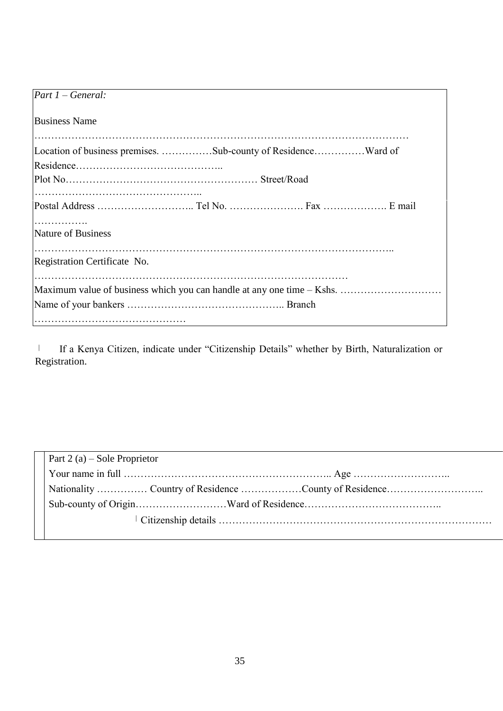| $\boxed{Part 1 - General:}$                                            |
|------------------------------------------------------------------------|
| <b>Business Name</b>                                                   |
| Location of business premises. Sub-county of ResidenceWard of          |
|                                                                        |
|                                                                        |
| Nature of Business                                                     |
| Registration Certificate No.                                           |
| Maximum value of business which you can handle at any one time – Kshs. |
|                                                                        |

 If a Kenya Citizen, indicate under "Citizenship Details" whether by Birth, Naturalization or Registration.

| Part 2 (a) – Sole Proprietor |
|------------------------------|
|                              |
|                              |
|                              |
|                              |
|                              |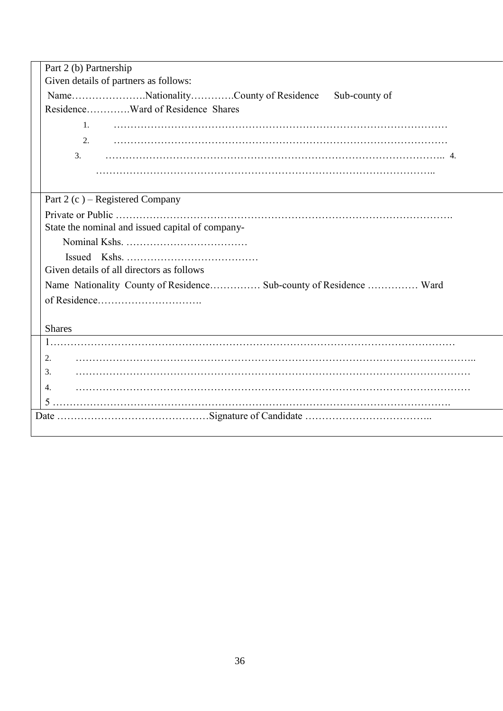| Part 2 (b) Partnership                                             |  |  |  |  |  |
|--------------------------------------------------------------------|--|--|--|--|--|
| Given details of partners as follows:                              |  |  |  |  |  |
| NameNationalityCounty of Residence<br>Sub-county of                |  |  |  |  |  |
| ResidenceWard of Residence Shares                                  |  |  |  |  |  |
| 1.                                                                 |  |  |  |  |  |
| 2.                                                                 |  |  |  |  |  |
| 3.                                                                 |  |  |  |  |  |
|                                                                    |  |  |  |  |  |
|                                                                    |  |  |  |  |  |
| Part 2 (c) – Registered Company                                    |  |  |  |  |  |
|                                                                    |  |  |  |  |  |
| State the nominal and issued capital of company-                   |  |  |  |  |  |
|                                                                    |  |  |  |  |  |
|                                                                    |  |  |  |  |  |
| Given details of all directors as follows                          |  |  |  |  |  |
| Name Nationality County of Residence Sub-county of Residence  Ward |  |  |  |  |  |
|                                                                    |  |  |  |  |  |
|                                                                    |  |  |  |  |  |
| <b>Shares</b>                                                      |  |  |  |  |  |
|                                                                    |  |  |  |  |  |
| 2.                                                                 |  |  |  |  |  |
| 3.                                                                 |  |  |  |  |  |
| 4.                                                                 |  |  |  |  |  |
|                                                                    |  |  |  |  |  |
|                                                                    |  |  |  |  |  |
|                                                                    |  |  |  |  |  |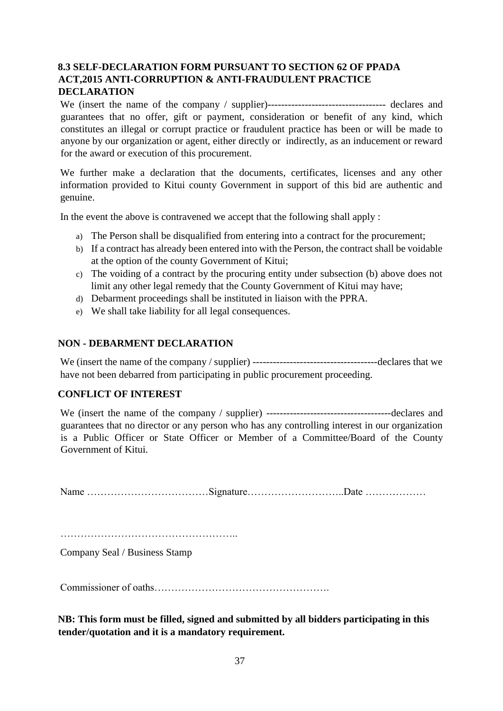# **8.3 SELF-DECLARATION FORM PURSUANT TO SECTION 62 OF PPADA ACT,2015 ANTI-CORRUPTION & ANTI-FRAUDULENT PRACTICE DECLARATION**

We (insert the name of the company / supplier)----------------------------------- declares and guarantees that no offer, gift or payment, consideration or benefit of any kind, which constitutes an illegal or corrupt practice or fraudulent practice has been or will be made to anyone by our organization or agent, either directly or indirectly, as an inducement or reward for the award or execution of this procurement.

We further make a declaration that the documents, certificates, licenses and any other information provided to Kitui county Government in support of this bid are authentic and genuine.

In the event the above is contravened we accept that the following shall apply :

- a) The Person shall be disqualified from entering into a contract for the procurement;
- b) If a contract has already been entered into with the Person, the contract shall be voidable at the option of the county Government of Kitui;
- c) The voiding of a contract by the procuring entity under subsection (b) above does not limit any other legal remedy that the County Government of Kitui may have;
- d) Debarment proceedings shall be instituted in liaison with the PPRA.
- e) We shall take liability for all legal consequences.

#### **NON - DEBARMENT DECLARATION**

We (insert the name of the company / supplier) -------------------------------------declares that we have not been debarred from participating in public procurement proceeding.

#### **CONFLICT OF INTEREST**

We (insert the name of the company / supplier) -------------------------------------declares and guarantees that no director or any person who has any controlling interest in our organization is a Public Officer or State Officer or Member of a Committee/Board of the County Government of Kitui.

Name ………………………………Signature………………………..Date ………………

……………………………………………..

Company Seal / Business Stamp

Commissioner of oaths…………………………………………….

**NB: This form must be filled, signed and submitted by all bidders participating in this tender/quotation and it is a mandatory requirement.**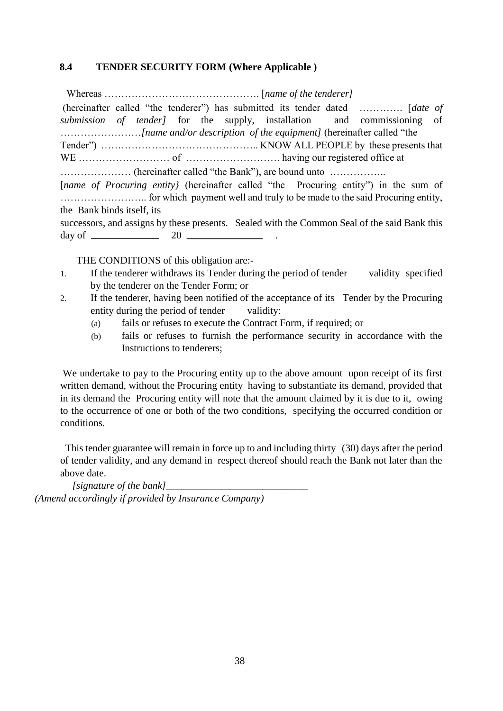#### **8.4 TENDER SECURITY FORM (Where Applicable )**

 Whereas ………………………………………. [*name of the tenderer]*  (hereinafter called "the tenderer") has submitted its tender dated …………. [*date of submission of tender]* for the supply, installation and commissioning of ……………………*[name and/or description of the equipment]* (hereinafter called "the Tender") ……………………………………….. KNOW ALL PEOPLE by these presents that WE ……………………… of ………………………. having our registered office at ………………… (hereinafter called "the Bank"), are bound unto …………….. [*name of Procuring entity*] (hereinafter called "the Procuring entity") in the sum of …………………….. for which payment well and truly to be made to the said Procuring entity, the Bank binds itself, its successors, and assigns by these presents. Sealed with the Common Seal of the said Bank this day of  $\frac{20}{20}$ 

THE CONDITIONS of this obligation are:-

- 1. If the tenderer withdraws its Tender during the period of tender validity specified by the tenderer on the Tender Form; or
- 2. If the tenderer, having been notified of the acceptance of its Tender by the Procuring entity during the period of tender validity:
	- (a) fails or refuses to execute the Contract Form, if required; or
	- (b) fails or refuses to furnish the performance security in accordance with the Instructions to tenderers;

We undertake to pay to the Procuring entity up to the above amount upon receipt of its first written demand, without the Procuring entity having to substantiate its demand, provided that in its demand the Procuring entity will note that the amount claimed by it is due to it, owing to the occurrence of one or both of the two conditions, specifying the occurred condition or conditions.

 This tender guarantee will remain in force up to and including thirty (30) days after the period of tender validity, and any demand in respect thereof should reach the Bank not later than the above date.

*[signature of the bank] (Amend accordingly if provided by Insurance Company)*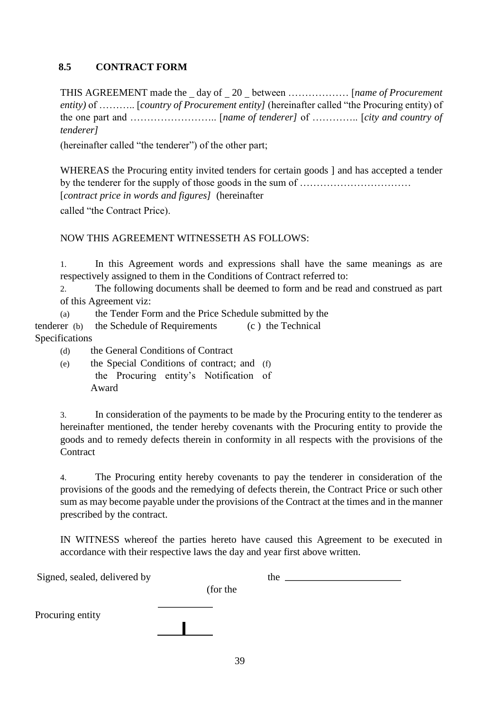### **8.5 CONTRACT FORM**

THIS AGREEMENT made the day of 20 between ……………… [*name of Procurement entity)* of ……….. [*country of Procurement entity]* (hereinafter called "the Procuring entity) of the one part and …………………….. [*name of tenderer]* of ………….. [*city and country of tenderer]*

(hereinafter called "the tenderer") of the other part;

WHEREAS the Procuring entity invited tenders for certain goods ] and has accepted a tender by the tenderer for the supply of those goods in the sum of …………………………… [*contract price in words and figures]* (hereinafter called "the Contract Price).

#### NOW THIS AGREEMENT WITNESSETH AS FOLLOWS:

1. In this Agreement words and expressions shall have the same meanings as are respectively assigned to them in the Conditions of Contract referred to:

2. The following documents shall be deemed to form and be read and construed as part of this Agreement viz:

(a) the Tender Form and the Price Schedule submitted by the tenderer (b) the Schedule of Requirements (c ) the Technical Specifications

(d) the General Conditions of Contract

(e) the Special Conditions of contract; and (f) the Procuring entity's Notification of Award

3. In consideration of the payments to be made by the Procuring entity to the tenderer as hereinafter mentioned, the tender hereby covenants with the Procuring entity to provide the goods and to remedy defects therein in conformity in all respects with the provisions of the **Contract** 

4. The Procuring entity hereby covenants to pay the tenderer in consideration of the provisions of the goods and the remedying of defects therein, the Contract Price or such other sum as may become payable under the provisions of the Contract at the times and in the manner prescribed by the contract.

IN WITNESS whereof the parties hereto have caused this Agreement to be executed in accordance with their respective laws the day and year first above written.

Signed, sealed, delivered by the the sealed of the sealed of the sealed of the sealed of the sealed of the sealed of the sealed of the sealed of the sealed of the sealed of the sealed of the sealed of the sealed of the sea (for the Procuring entity  $\mathbf{I}$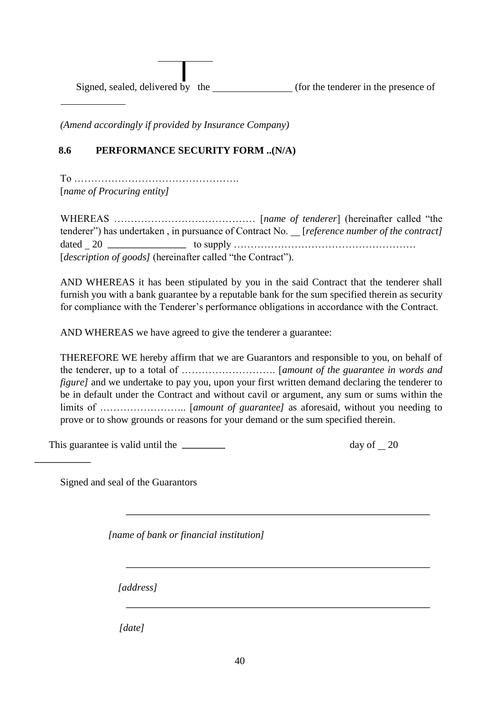Signed, sealed, delivered by the (for the tenderer in the presence of

*(Amend accordingly if provided by Insurance Company)* 

## **8.6 PERFORMANCE SECURITY FORM ..(N/A)**

To …………………………………………. [*name of Procuring entity]* 

 $\overline{a}$ 

WHEREAS …………………………………… [*name of tenderer*] (hereinafter called "the tenderer") has undertaken, in pursuance of Contract No. \_\_[*reference number of the contract]* dated  $20$   $\_\_\_\_\_\_\_\$ to supply  $\_\_\_\_\_\_\_\_\_\_\_\_\_\_\_\_\_\_\_\_\_$ [*description of goods*] (hereinafter called "the Contract").

AND WHEREAS it has been stipulated by you in the said Contract that the tenderer shall furnish you with a bank guarantee by a reputable bank for the sum specified therein as security for compliance with the Tenderer's performance obligations in accordance with the Contract.

AND WHEREAS we have agreed to give the tenderer a guarantee:

THEREFORE WE hereby affirm that we are Guarantors and responsible to you, on behalf of the tenderer, up to a total of ………………………. [*amount of the guarantee in words and figure]* and we undertake to pay you, upon your first written demand declaring the tenderer to be in default under the Contract and without cavil or argument, any sum or sums within the limits of …………………….. [*amount of guarantee]* as aforesaid, without you needing to prove or to show grounds or reasons for your demand or the sum specified therein.

This guarantee is valid until the <u>equal control of</u> the day of 20

Signed and seal of the Guarantors

*[name of bank or financial institution]* 

*[address]* 

*[date]*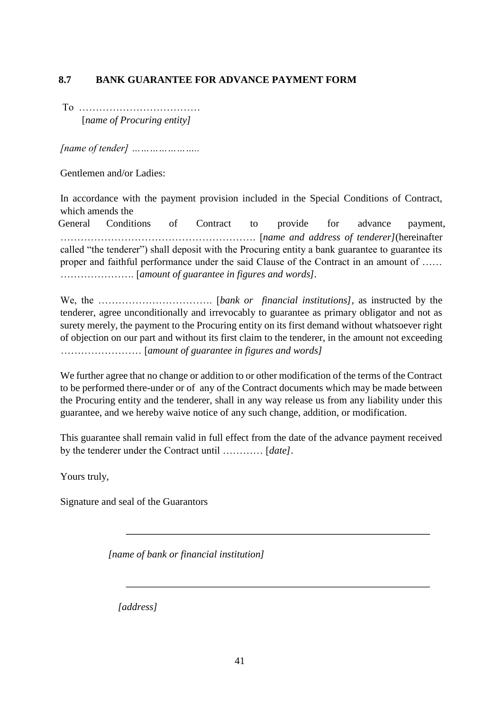# **8.7 BANK GUARANTEE FOR ADVANCE PAYMENT FORM**

To ……………………………… [*name of Procuring entity]* 

*[name of tender] …………………..* 

Gentlemen and/or Ladies:

In accordance with the payment provision included in the Special Conditions of Contract, which amends the

General Conditions of Contract to provide for advance payment, …………………………………………………. [*name and address of tenderer]*(hereinafter called "the tenderer") shall deposit with the Procuring entity a bank guarantee to guarantee its proper and faithful performance under the said Clause of the Contract in an amount of …… …………………. [*amount of guarantee in figures and words].* 

We, the ……………………………. [*bank or financial institutions]*, as instructed by the tenderer, agree unconditionally and irrevocably to guarantee as primary obligator and not as surety merely, the payment to the Procuring entity on its first demand without whatsoever right of objection on our part and without its first claim to the tenderer, in the amount not exceeding …………………… [*amount of guarantee in figures and words]* 

We further agree that no change or addition to or other modification of the terms of the Contract to be performed there-under or of any of the Contract documents which may be made between the Procuring entity and the tenderer, shall in any way release us from any liability under this guarantee, and we hereby waive notice of any such change, addition, or modification.

This guarantee shall remain valid in full effect from the date of the advance payment received by the tenderer under the Contract until ………… [*date]*.

Yours truly,

Signature and seal of the Guarantors

*[name of bank or financial institution]* 

*[address]*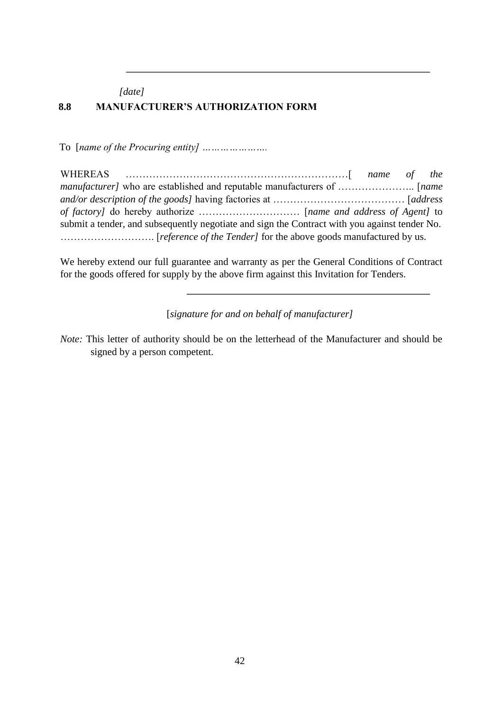*[date]*  **8.8 MANUFACTURER'S AUTHORIZATION FORM** 

To [*name of the Procuring entity] ………………….* 

| submit a tender, and subsequently negotiate and sign the Contract with you against tender No. |  |  |  |  |
|-----------------------------------------------------------------------------------------------|--|--|--|--|
|                                                                                               |  |  |  |  |

We hereby extend our full guarantee and warranty as per the General Conditions of Contract for the goods offered for supply by the above firm against this Invitation for Tenders.

[*signature for and on behalf of manufacturer]* 

*Note:* This letter of authority should be on the letterhead of the Manufacturer and should be signed by a person competent.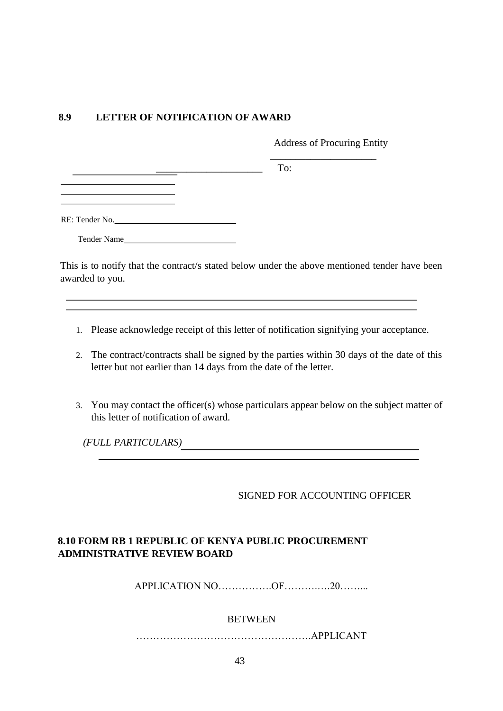#### **8.9 LETTER OF NOTIFICATION OF AWARD**

 $\overline{\phantom{a}}$  , and the contract of the contract of the contract of the contract of the contract of the contract of the contract of the contract of the contract of the contract of the contract of the contract of the contrac

Address of Procuring Entity

l,

 $\overline{\phantom{a}}$  To:

Tender Name

This is to notify that the contract/s stated below under the above mentioned tender have been awarded to you.

- 1. Please acknowledge receipt of this letter of notification signifying your acceptance.
- 2. The contract/contracts shall be signed by the parties within 30 days of the date of this letter but not earlier than 14 days from the date of the letter.
- 3. You may contact the officer(s) whose particulars appear below on the subject matter of this letter of notification of award.

*(FULL PARTICULARS)* 

#### SIGNED FOR ACCOUNTING OFFICER

# **8.10 FORM RB 1 REPUBLIC OF KENYA PUBLIC PROCUREMENT ADMINISTRATIVE REVIEW BOARD**

APPLICATION NO…………….OF……….….20……...

#### BETWEEN

…………………………………………….APPLICANT